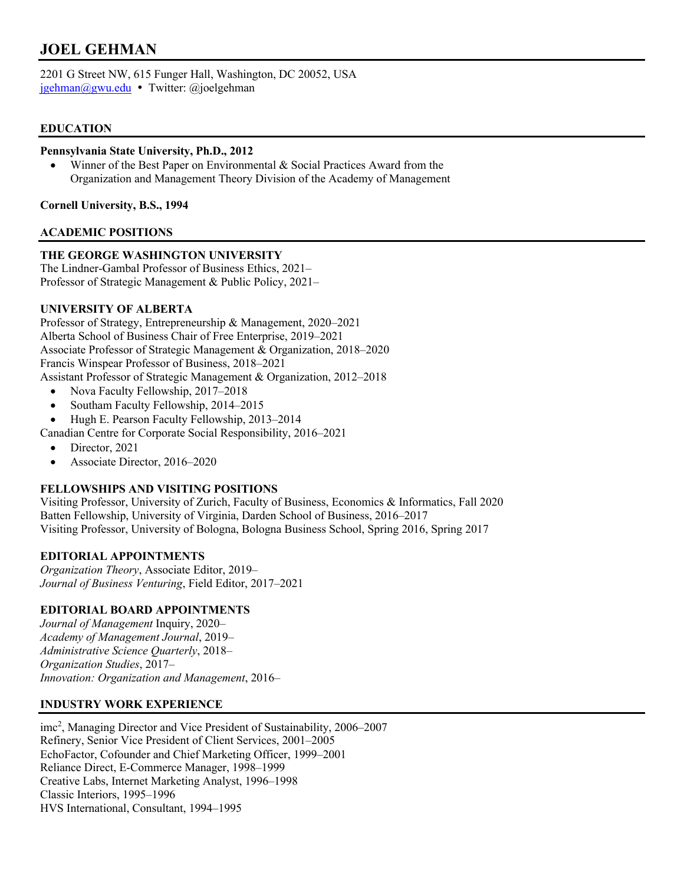# **JOEL GEHMAN**

2201 G Street NW, 615 Funger Hall, Washington, DC 20052, USA jgehman@gwu.edu · Twitter: @joelgehman

# **EDUCATION**

### **Pennsylvania State University, Ph.D., 2012**

• Winner of the Best Paper on Environmental & Social Practices Award from the Organization and Management Theory Division of the Academy of Management

**Cornell University, B.S., 1994**

### **ACADEMIC POSITIONS**

# **THE GEORGE WASHINGTON UNIVERSITY**

The Lindner-Gambal Professor of Business Ethics, 2021– Professor of Strategic Management & Public Policy, 2021–

### **UNIVERSITY OF ALBERTA**

Professor of Strategy, Entrepreneurship & Management, 2020–2021 Alberta School of Business Chair of Free Enterprise, 2019–2021 Associate Professor of Strategic Management & Organization, 2018–2020 Francis Winspear Professor of Business, 2018–2021 Assistant Professor of Strategic Management & Organization, 2012–2018

- Nova Faculty Fellowship, 2017–2018
- Southam Faculty Fellowship, 2014–2015
- Hugh E. Pearson Faculty Fellowship, 2013–2014

Canadian Centre for Corporate Social Responsibility, 2016–2021

- Director, 2021
- Associate Director, 2016–2020

# **FELLOWSHIPS AND VISITING POSITIONS**

Visiting Professor, University of Zurich, Faculty of Business, Economics & Informatics, Fall 2020 Batten Fellowship, University of Virginia, Darden School of Business, 2016–2017 Visiting Professor, University of Bologna, Bologna Business School, Spring 2016, Spring 2017

# **EDITORIAL APPOINTMENTS**

*Organization Theory*, Associate Editor, 2019– *Journal of Business Venturing*, Field Editor, 2017–2021

# **EDITORIAL BOARD APPOINTMENTS**

*Journal of Management* Inquiry, 2020– *Academy of Management Journal*, 2019– *Administrative Science Quarterly*, 2018– *Organization Studies*, 2017– *Innovation: Organization and Management*, 2016–

# **INDUSTRY WORK EXPERIENCE**

imc2 , Managing Director and Vice President of Sustainability, 2006–2007 Refinery, Senior Vice President of Client Services, 2001–2005 EchoFactor, Cofounder and Chief Marketing Officer, 1999–2001 Reliance Direct, E-Commerce Manager, 1998–1999 Creative Labs, Internet Marketing Analyst, 1996–1998 Classic Interiors, 1995–1996 HVS International, Consultant, 1994–1995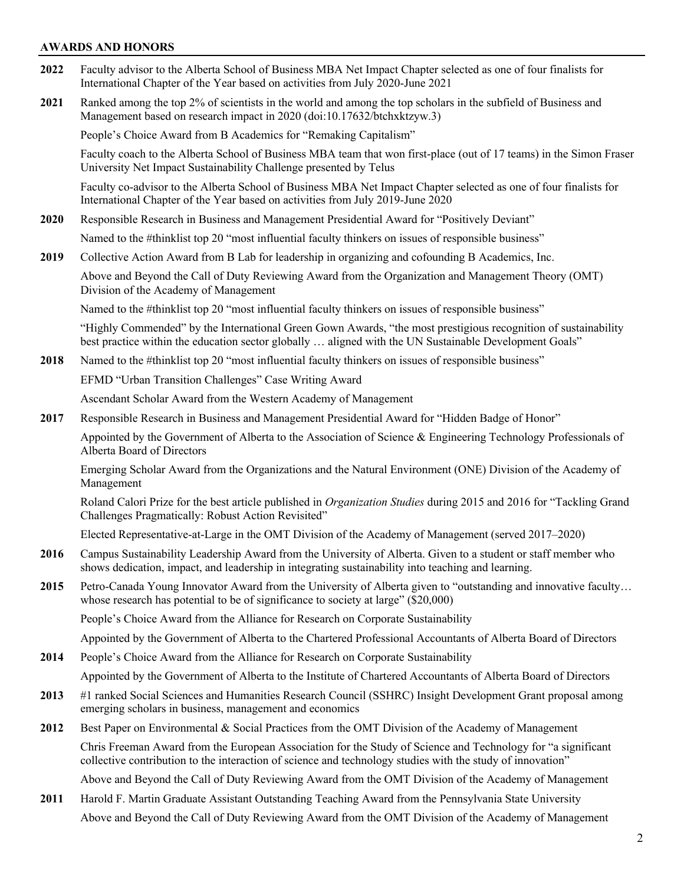### **AWARDS AND HONORS**

- **2022** Faculty advisor to the Alberta School of Business MBA Net Impact Chapter selected as one of four finalists for International Chapter of the Year based on activities from July 2020-June 2021
- **2021** Ranked among the top 2% of scientists in the world and among the top scholars in the subfield of Business and Management based on research impact in 2020 (doi:10.17632/btchxktzyw.3)

People's Choice Award from B Academics for "Remaking Capitalism"

Faculty coach to the Alberta School of Business MBA team that won first-place (out of 17 teams) in the Simon Fraser University Net Impact Sustainability Challenge presented by Telus

Faculty co-advisor to the Alberta School of Business MBA Net Impact Chapter selected as one of four finalists for International Chapter of the Year based on activities from July 2019-June 2020

**2020** Responsible Research in Business and Management Presidential Award for "Positively Deviant"

Named to the #thinklist top 20 "most influential faculty thinkers on issues of responsible business"

**2019** Collective Action Award from B Lab for leadership in organizing and cofounding B Academics, Inc.

Above and Beyond the Call of Duty Reviewing Award from the Organization and Management Theory (OMT) Division of the Academy of Management

Named to the #thinklist top 20 "most influential faculty thinkers on issues of responsible business"

"Highly Commended" by the International Green Gown Awards, "the most prestigious recognition of sustainability best practice within the education sector globally … aligned with the UN Sustainable Development Goals"

**2018** Named to the #thinklist top 20 "most influential faculty thinkers on issues of responsible business"

EFMD "Urban Transition Challenges" Case Writing Award

Ascendant Scholar Award from the Western Academy of Management

**2017** Responsible Research in Business and Management Presidential Award for "Hidden Badge of Honor"

Appointed by the Government of Alberta to the Association of Science & Engineering Technology Professionals of Alberta Board of Directors

Emerging Scholar Award from the Organizations and the Natural Environment (ONE) Division of the Academy of Management

Roland Calori Prize for the best article published in *Organization Studies* during 2015 and 2016 for "Tackling Grand Challenges Pragmatically: Robust Action Revisited"

Elected Representative-at-Large in the OMT Division of the Academy of Management (served 2017–2020)

- **2016** Campus Sustainability Leadership Award from the University of Alberta. Given to a student or staff member who shows dedication, impact, and leadership in integrating sustainability into teaching and learning.
- **2015** Petro-Canada Young Innovator Award from the University of Alberta given to "outstanding and innovative faculty… whose research has potential to be of significance to society at large" (\$20,000)

People's Choice Award from the Alliance for Research on Corporate Sustainability

Appointed by the Government of Alberta to the Chartered Professional Accountants of Alberta Board of Directors

**2014** People's Choice Award from the Alliance for Research on Corporate Sustainability

Appointed by the Government of Alberta to the Institute of Chartered Accountants of Alberta Board of Directors

- **2013** #1 ranked Social Sciences and Humanities Research Council (SSHRC) Insight Development Grant proposal among emerging scholars in business, management and economics
- **2012** Best Paper on Environmental & Social Practices from the OMT Division of the Academy of Management

Chris Freeman Award from the European Association for the Study of Science and Technology for "a significant collective contribution to the interaction of science and technology studies with the study of innovation"

Above and Beyond the Call of Duty Reviewing Award from the OMT Division of the Academy of Management

**2011** Harold F. Martin Graduate Assistant Outstanding Teaching Award from the Pennsylvania State University Above and Beyond the Call of Duty Reviewing Award from the OMT Division of the Academy of Management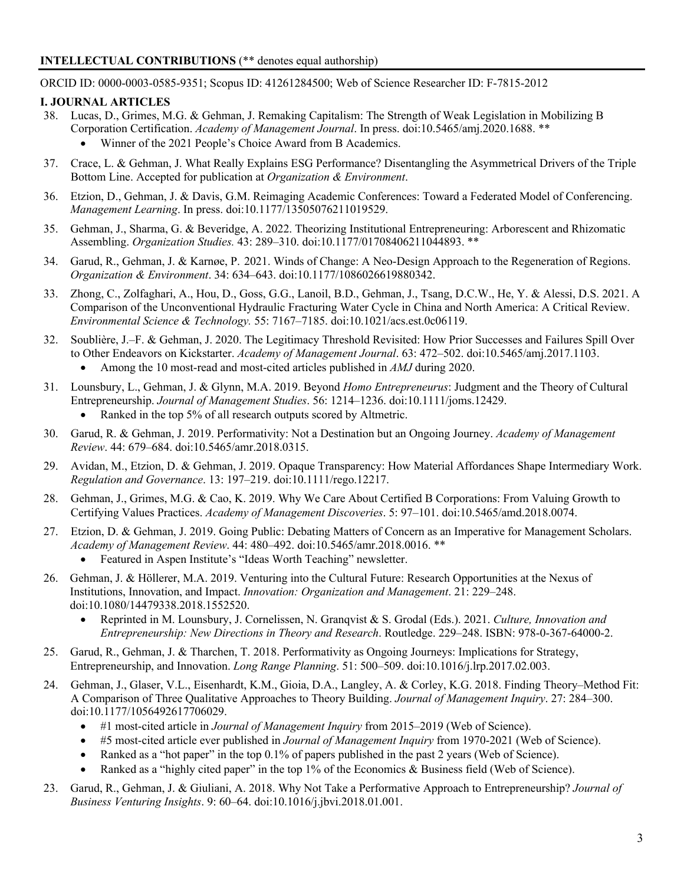### **INTELLECTUAL CONTRIBUTIONS** (\*\* denotes equal authorship)

ORCID ID: 0000-0003-0585-9351; Scopus ID: 41261284500; Web of Science Researcher ID: F-7815-2012

# **I. JOURNAL ARTICLES**

- 38. Lucas, D., Grimes, M.G. & Gehman, J. Remaking Capitalism: The Strength of Weak Legislation in Mobilizing B Corporation Certification. *Academy of Management Journal*. In press. doi:10.5465/amj.2020.1688. \*\*
	- Winner of the 2021 People's Choice Award from B Academics.
- 37. Crace, L. & Gehman, J. What Really Explains ESG Performance? Disentangling the Asymmetrical Drivers of the Triple Bottom Line. Accepted for publication at *Organization & Environment*.
- 36. Etzion, D., Gehman, J. & Davis, G.M. Reimaging Academic Conferences: Toward a Federated Model of Conferencing. *Management Learning*. In press. doi:10.1177/13505076211019529.
- 35. Gehman, J., Sharma, G. & Beveridge, A. 2022. Theorizing Institutional Entrepreneuring: Arborescent and Rhizomatic Assembling. *Organization Studies.* 43: 289–310. doi:10.1177/01708406211044893. \*\*
- 34. Garud, R., Gehman, J. & Karnøe, P. 2021. Winds of Change: A Neo-Design Approach to the Regeneration of Regions. *Organization & Environment*. 34: 634–643. doi:10.1177/1086026619880342.
- 33. Zhong, C., Zolfaghari, A., Hou, D., Goss, G.G., Lanoil, B.D., Gehman, J., Tsang, D.C.W., He, Y. & Alessi, D.S. 2021. A Comparison of the Unconventional Hydraulic Fracturing Water Cycle in China and North America: A Critical Review. *Environmental Science & Technology.* 55: 7167–7185. doi:10.1021/acs.est.0c06119.
- 32. Soublière, J.–F. & Gehman, J. 2020. The Legitimacy Threshold Revisited: How Prior Successes and Failures Spill Over to Other Endeavors on Kickstarter. *Academy of Management Journal*. 63: 472–502. doi:10.5465/amj.2017.1103. • Among the 10 most-read and most-cited articles published in *AMJ* during 2020.
- 31. Lounsbury, L., Gehman, J. & Glynn, M.A. 2019. Beyond *Homo Entrepreneurus*: Judgment and the Theory of Cultural Entrepreneurship. *Journal of Management Studies*. 56: 1214–1236. doi:10.1111/joms.12429.
	- Ranked in the top 5% of all research outputs scored by Altmetric.
- 30. Garud, R. & Gehman, J. 2019. Performativity: Not a Destination but an Ongoing Journey. *Academy of Management Review*. 44: 679–684. doi:10.5465/amr.2018.0315.
- 29. Avidan, M., Etzion, D. & Gehman, J. 2019. Opaque Transparency: How Material Affordances Shape Intermediary Work. *Regulation and Governance*. 13: 197–219. doi:10.1111/rego.12217.
- 28. Gehman, J., Grimes, M.G. & Cao, K. 2019. Why We Care About Certified B Corporations: From Valuing Growth to Certifying Values Practices. *Academy of Management Discoveries*. 5: 97–101. doi:10.5465/amd.2018.0074.
- 27. Etzion, D. & Gehman, J. 2019. Going Public: Debating Matters of Concern as an Imperative for Management Scholars. *Academy of Management Review*. 44: 480–492. doi:10.5465/amr.2018.0016. \*\*
	- Featured in Aspen Institute's "Ideas Worth Teaching" newsletter.
- 26. Gehman, J. & Höllerer, M.A. 2019. Venturing into the Cultural Future: Research Opportunities at the Nexus of Institutions, Innovation, and Impact. *Innovation: Organization and Management*. 21: 229–248. doi:10.1080/14479338.2018.1552520.
	- Reprinted in M. Lounsbury, J. Cornelissen, N. Granqvist & S. Grodal (Eds.). 2021. *Culture, Innovation and Entrepreneurship: New Directions in Theory and Research*. Routledge. 229–248. ISBN: 978-0-367-64000-2.
- 25. Garud, R., Gehman, J. & Tharchen, T. 2018. Performativity as Ongoing Journeys: Implications for Strategy, Entrepreneurship, and Innovation. *Long Range Planning*. 51: 500–509. doi:10.1016/j.lrp.2017.02.003.
- 24. Gehman, J., Glaser, V.L., Eisenhardt, K.M., Gioia, D.A., Langley, A. & Corley, K.G. 2018. Finding Theory–Method Fit: A Comparison of Three Qualitative Approaches to Theory Building. *Journal of Management Inquiry*. 27: 284–300. doi:10.1177/1056492617706029.
	- #1 most-cited article in *Journal of Management Inquiry* from 2015–2019 (Web of Science).
	- #5 most-cited article ever published in *Journal of Management Inquiry* from 1970-2021 (Web of Science).
	- Ranked as a "hot paper" in the top 0.1% of papers published in the past 2 years (Web of Science).
	- Ranked as a "highly cited paper" in the top 1% of the Economics & Business field (Web of Science).
- 23. Garud, R., Gehman, J. & Giuliani, A. 2018. Why Not Take a Performative Approach to Entrepreneurship? *Journal of Business Venturing Insights*. 9: 60–64. doi:10.1016/j.jbvi.2018.01.001.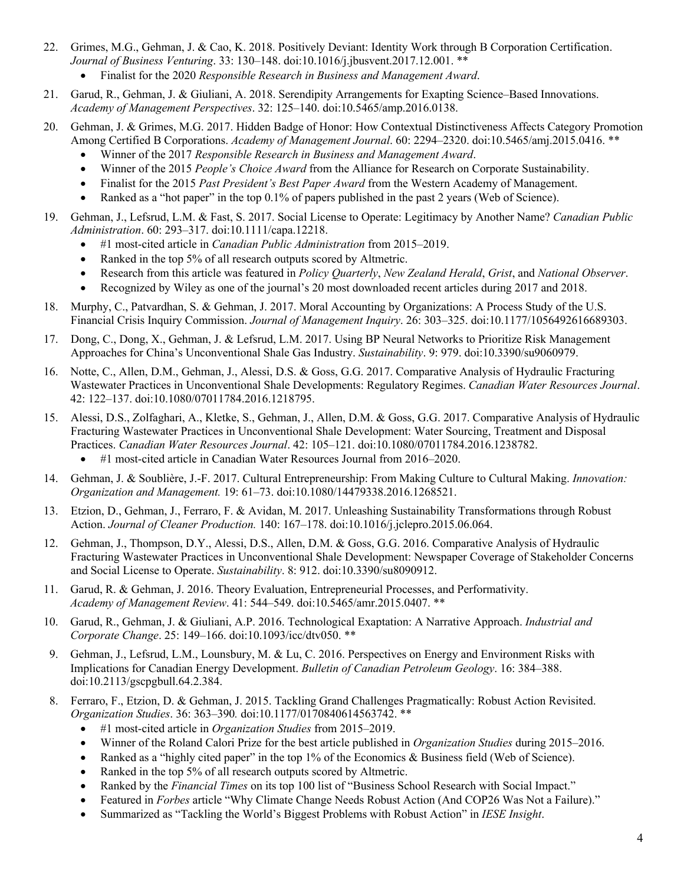- 22. Grimes, M.G., Gehman, J. & Cao, K. 2018. Positively Deviant: Identity Work through B Corporation Certification. *Journal of Business Venturing*. 33: 130–148. doi:10.1016/j.jbusvent.2017.12.001. \*\* • Finalist for the 2020 *Responsible Research in Business and Management Award*.
- 21. Garud, R., Gehman, J. & Giuliani, A. 2018. Serendipity Arrangements for Exapting Science–Based Innovations. *Academy of Management Perspectives*. 32: 125–140. doi:10.5465/amp.2016.0138.
- 20. Gehman, J. & Grimes, M.G. 2017. Hidden Badge of Honor: How Contextual Distinctiveness Affects Category Promotion Among Certified B Corporations. *Academy of Management Journal*. 60: 2294–2320. doi:10.5465/amj.2015.0416. \*\*
	- Winner of the 2017 *Responsible Research in Business and Management Award*.
	- Winner of the 2015 *People's Choice Award* from the Alliance for Research on Corporate Sustainability.
	- Finalist for the 2015 *Past President's Best Paper Award* from the Western Academy of Management.
	- Ranked as a "hot paper" in the top 0.1% of papers published in the past 2 years (Web of Science).
- 19. Gehman, J., Lefsrud, L.M. & Fast, S. 2017. Social License to Operate: Legitimacy by Another Name? *Canadian Public Administration*. 60: 293–317. doi:10.1111/capa.12218.
	- #1 most-cited article in *Canadian Public Administration* from 2015–2019.
	- Ranked in the top 5% of all research outputs scored by Altmetric.
	- Research from this article was featured in *Policy Quarterly*, *New Zealand Herald*, *Grist*, and *National Observer*.
	- Recognized by Wiley as one of the journal's 20 most downloaded recent articles during 2017 and 2018.
- 18. Murphy, C., Patvardhan, S. & Gehman, J. 2017. Moral Accounting by Organizations: A Process Study of the U.S. Financial Crisis Inquiry Commission. *Journal of Management Inquiry*. 26: 303–325. doi:10.1177/1056492616689303.
- 17. Dong, C., Dong, X., Gehman, J. & Lefsrud, L.M. 2017. Using BP Neural Networks to Prioritize Risk Management Approaches for China's Unconventional Shale Gas Industry. *Sustainability*. 9: 979. doi:10.3390/su9060979.
- 16. Notte, C., Allen, D.M., Gehman, J., Alessi, D.S. & Goss, G.G. 2017. Comparative Analysis of Hydraulic Fracturing Wastewater Practices in Unconventional Shale Developments: Regulatory Regimes. *Canadian Water Resources Journal*. 42: 122–137. doi:10.1080/07011784.2016.1218795.
- 15. Alessi, D.S., Zolfaghari, A., Kletke, S., Gehman, J., Allen, D.M. & Goss, G.G. 2017. Comparative Analysis of Hydraulic Fracturing Wastewater Practices in Unconventional Shale Development: Water Sourcing, Treatment and Disposal Practices. *Canadian Water Resources Journal*. 42: 105–121. doi:10.1080/07011784.2016.1238782. • #1 most-cited article in Canadian Water Resources Journal from 2016–2020.
- 14. Gehman, J. & Soublière, J.-F. 2017. Cultural Entrepreneurship: From Making Culture to Cultural Making. *Innovation: Organization and Management.* 19: 61–73. doi:10.1080/14479338.2016.1268521.
- 13. Etzion, D., Gehman, J., Ferraro, F. & Avidan, M. 2017. Unleashing Sustainability Transformations through Robust Action. *Journal of Cleaner Production.* 140: 167–178. doi:10.1016/j.jclepro.2015.06.064.
- 12. Gehman, J., Thompson, D.Y., Alessi, D.S., Allen, D.M. & Goss, G.G. 2016. Comparative Analysis of Hydraulic Fracturing Wastewater Practices in Unconventional Shale Development: Newspaper Coverage of Stakeholder Concerns and Social License to Operate. *Sustainability*. 8: 912. doi:10.3390/su8090912.
- 11. Garud, R. & Gehman, J. 2016. Theory Evaluation, Entrepreneurial Processes, and Performativity. *Academy of Management Review*. 41: 544–549. doi:10.5465/amr.2015.0407. \*\*
- 10. Garud, R., Gehman, J. & Giuliani, A.P. 2016. Technological Exaptation: A Narrative Approach. *Industrial and Corporate Change*. 25: 149–166. doi:10.1093/icc/dtv050. \*\*
- 9. Gehman, J., Lefsrud, L.M., Lounsbury, M. & Lu, C. 2016. Perspectives on Energy and Environment Risks with Implications for Canadian Energy Development. *Bulletin of Canadian Petroleum Geology*. 16: 384–388. doi:10.2113/gscpgbull.64.2.384.
- 8. Ferraro, F., Etzion, D. & Gehman, J. 2015. Tackling Grand Challenges Pragmatically: Robust Action Revisited. *Organization Studies*. 36: 363–390*.* doi:10.1177/0170840614563742. \*\*
	- #1 most-cited article in *Organization Studies* from 2015–2019.
	- Winner of the Roland Calori Prize for the best article published in *Organization Studies* during 2015–2016.
	- Ranked as a "highly cited paper" in the top 1% of the Economics & Business field (Web of Science).
	- Ranked in the top 5% of all research outputs scored by Altmetric.
	- Ranked by the *Financial Times* on its top 100 list of "Business School Research with Social Impact."
	- Featured in *Forbes* article "Why Climate Change Needs Robust Action (And COP26 Was Not a Failure)."
	- Summarized as "Tackling the World's Biggest Problems with Robust Action" in *IESE Insight*.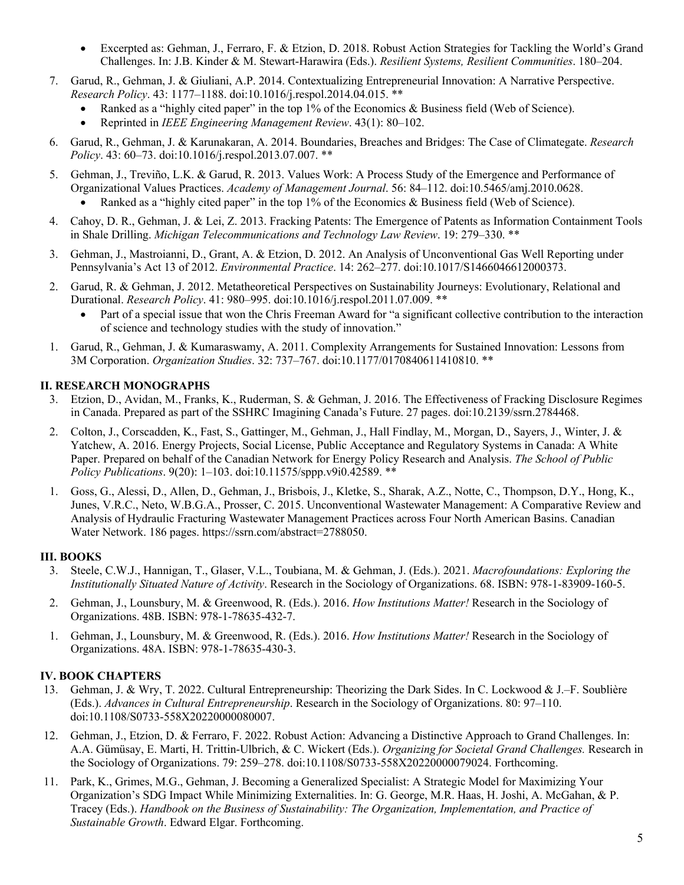- Excerpted as: Gehman, J., Ferraro, F. & Etzion, D. 2018. Robust Action Strategies for Tackling the World's Grand Challenges. In: J.B. Kinder & M. Stewart-Harawira (Eds.). *Resilient Systems, Resilient Communities*. 180–204.
- 7. Garud, R., Gehman, J. & Giuliani, A.P. 2014. Contextualizing Entrepreneurial Innovation: A Narrative Perspective. *Research Policy*. 43: 1177–1188. doi:10.1016/j.respol.2014.04.015. \*\*
	- Ranked as a "highly cited paper" in the top 1% of the Economics & Business field (Web of Science).
		- Reprinted in *IEEE Engineering Management Review*. 43(1): 80–102.
- 6. Garud, R., Gehman, J. & Karunakaran, A. 2014. Boundaries, Breaches and Bridges: The Case of Climategate. *Research Policy*. 43: 60–73. doi:10.1016/j.respol.2013.07.007. \*\*
- 5. Gehman, J., Treviño, L.K. & Garud, R. 2013. Values Work: A Process Study of the Emergence and Performance of Organizational Values Practices. *Academy of Management Journal*. 56: 84–112. doi:10.5465/amj.2010.0628. • Ranked as a "highly cited paper" in the top 1% of the Economics & Business field (Web of Science).
- 4. Cahoy, D. R., Gehman, J. & Lei, Z. 2013. Fracking Patents: The Emergence of Patents as Information Containment Tools in Shale Drilling. *Michigan Telecommunications and Technology Law Review*. 19: 279–330. \*\*
- 3. Gehman, J., Mastroianni, D., Grant, A. & Etzion, D. 2012. An Analysis of Unconventional Gas Well Reporting under Pennsylvania's Act 13 of 2012. *Environmental Practice*. 14: 262–277. doi:10.1017/S1466046612000373.
- 2. Garud, R. & Gehman, J. 2012. Metatheoretical Perspectives on Sustainability Journeys: Evolutionary, Relational and Durational. *Research Policy*. 41: 980–995. doi:10.1016/j.respol.2011.07.009. \*\*
	- Part of a special issue that won the Chris Freeman Award for "a significant collective contribution to the interaction of science and technology studies with the study of innovation."
- 1. Garud, R., Gehman, J. & Kumaraswamy, A. 2011. Complexity Arrangements for Sustained Innovation: Lessons from 3M Corporation. *Organization Studies*. 32: 737–767. doi:10.1177/0170840611410810. \*\*

### **II. RESEARCH MONOGRAPHS**

- 3. Etzion, D., Avidan, M., Franks, K., Ruderman, S. & Gehman, J. 2016. The Effectiveness of Fracking Disclosure Regimes in Canada. Prepared as part of the SSHRC Imagining Canada's Future. 27 pages. doi:10.2139/ssrn.2784468.
- 2. Colton, J., Corscadden, K., Fast, S., Gattinger, M., Gehman, J., Hall Findlay, M., Morgan, D., Sayers, J., Winter, J. & Yatchew, A. 2016. Energy Projects, Social License, Public Acceptance and Regulatory Systems in Canada: A White Paper. Prepared on behalf of the Canadian Network for Energy Policy Research and Analysis. *The School of Public Policy Publications*. 9(20): 1–103. doi:10.11575/sppp.v9i0.42589. \*\*
- 1. Goss, G., Alessi, D., Allen, D., Gehman, J., Brisbois, J., Kletke, S., Sharak, A.Z., Notte, C., Thompson, D.Y., Hong, K., Junes, V.R.C., Neto, W.B.G.A., Prosser, C. 2015. Unconventional Wastewater Management: A Comparative Review and Analysis of Hydraulic Fracturing Wastewater Management Practices across Four North American Basins. Canadian Water Network. 186 pages. https://ssrn.com/abstract=2788050.

### **III. BOOKS**

- 3. Steele, C.W.J., Hannigan, T., Glaser, V.L., Toubiana, M. & Gehman, J. (Eds.). 2021. *Macrofoundations: Exploring the Institutionally Situated Nature of Activity*. Research in the Sociology of Organizations. 68. ISBN: 978-1-83909-160-5.
- 2. Gehman, J., Lounsbury, M. & Greenwood, R. (Eds.). 2016. *How Institutions Matter!* Research in the Sociology of Organizations. 48B. ISBN: 978-1-78635-432-7.
- 1. Gehman, J., Lounsbury, M. & Greenwood, R. (Eds.). 2016. *How Institutions Matter!* Research in the Sociology of Organizations. 48A. ISBN: 978-1-78635-430-3.

# **IV. BOOK CHAPTERS**

- 13. Gehman, J. & Wry, T. 2022. Cultural Entrepreneurship: Theorizing the Dark Sides. In C. Lockwood & J.–F. Soublière (Eds.). *Advances in Cultural Entrepreneurship*. Research in the Sociology of Organizations. 80: 97–110. doi:10.1108/S0733-558X20220000080007.
- 12. Gehman, J., Etzion, D. & Ferraro, F. 2022. Robust Action: Advancing a Distinctive Approach to Grand Challenges. In: A.A. Gümüsay, E. Marti, H. Trittin-Ulbrich, & C. Wickert (Eds.). *Organizing for Societal Grand Challenges.* Research in the Sociology of Organizations. 79: 259–278. doi:10.1108/S0733-558X20220000079024. Forthcoming.
- 11. Park, K., Grimes, M.G., Gehman, J. Becoming a Generalized Specialist: A Strategic Model for Maximizing Your Organization's SDG Impact While Minimizing Externalities. In: G. George, M.R. Haas, H. Joshi, A. McGahan, & P. Tracey (Eds.). *Handbook on the Business of Sustainability: The Organization, Implementation, and Practice of Sustainable Growth*. Edward Elgar. Forthcoming.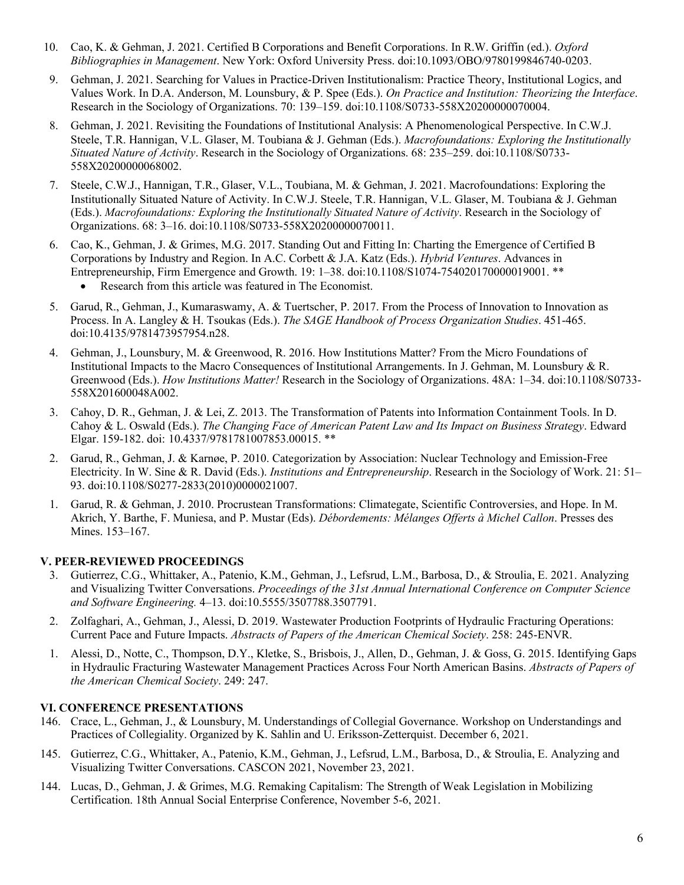- 10. Cao, K. & Gehman, J. 2021. Certified B Corporations and Benefit Corporations. In R.W. Griffin (ed.). *Oxford Bibliographies in Management*. New York: Oxford University Press. doi:10.1093/OBO/9780199846740-0203.
- 9. Gehman, J. 2021. Searching for Values in Practice-Driven Institutionalism: Practice Theory, Institutional Logics, and Values Work. In D.A. Anderson, M. Lounsbury, & P. Spee (Eds.). *On Practice and Institution: Theorizing the Interface*. Research in the Sociology of Organizations. 70: 139–159. doi:10.1108/S0733-558X20200000070004.
- 8. Gehman, J. 2021. Revisiting the Foundations of Institutional Analysis: A Phenomenological Perspective. In C.W.J. Steele, T.R. Hannigan, V.L. Glaser, M. Toubiana & J. Gehman (Eds.). *Macrofoundations: Exploring the Institutionally Situated Nature of Activity*. Research in the Sociology of Organizations. 68: 235–259. doi:10.1108/S0733- 558X20200000068002.
- 7. Steele, C.W.J., Hannigan, T.R., Glaser, V.L., Toubiana, M. & Gehman, J. 2021. Macrofoundations: Exploring the Institutionally Situated Nature of Activity. In C.W.J. Steele, T.R. Hannigan, V.L. Glaser, M. Toubiana & J. Gehman (Eds.). *Macrofoundations: Exploring the Institutionally Situated Nature of Activity*. Research in the Sociology of Organizations. 68: 3–16. doi:10.1108/S0733-558X20200000070011.
- 6. Cao, K., Gehman, J. & Grimes, M.G. 2017. Standing Out and Fitting In: Charting the Emergence of Certified B Corporations by Industry and Region. In A.C. Corbett & J.A. Katz (Eds.). *Hybrid Ventures*. Advances in Entrepreneurship, Firm Emergence and Growth. 19: 1–38. doi:10.1108/S1074-754020170000019001. \*\*
	- Research from this article was featured in The Economist.
- 5. Garud, R., Gehman, J., Kumaraswamy, A. & Tuertscher, P. 2017. From the Process of Innovation to Innovation as Process. In A. Langley & H. Tsoukas (Eds.). *The SAGE Handbook of Process Organization Studies*. 451-465. doi:10.4135/9781473957954.n28.
- 4. Gehman, J., Lounsbury, M. & Greenwood, R. 2016. How Institutions Matter? From the Micro Foundations of Institutional Impacts to the Macro Consequences of Institutional Arrangements. In J. Gehman, M. Lounsbury & R. Greenwood (Eds.). *How Institutions Matter!* Research in the Sociology of Organizations. 48A: 1–34. doi:10.1108/S0733- 558X201600048A002.
- 3. Cahoy, D. R., Gehman, J. & Lei, Z. 2013. The Transformation of Patents into Information Containment Tools. In D. Cahoy & L. Oswald (Eds.). *The Changing Face of American Patent Law and Its Impact on Business Strategy*. Edward Elgar. 159-182. doi: 10.4337/9781781007853.00015. \*\*
- 2. Garud, R., Gehman, J. & Karnøe, P. 2010. Categorization by Association: Nuclear Technology and Emission-Free Electricity. In W. Sine & R. David (Eds.). *Institutions and Entrepreneurship*. Research in the Sociology of Work. 21: 51– 93. doi:10.1108/S0277-2833(2010)0000021007.
- 1. Garud, R. & Gehman, J. 2010. Procrustean Transformations: Climategate, Scientific Controversies, and Hope. In M. Akrich, Y. Barthe, F. Muniesa, and P. Mustar (Eds). *Débordements: Mélanges Offerts à Michel Callon*. Presses des Mines. 153–167.

# **V. PEER-REVIEWED PROCEEDINGS**

- 3. Gutierrez, C.G., Whittaker, A., Patenio, K.M., Gehman, J., Lefsrud, L.M., Barbosa, D., & Stroulia, E. 2021. Analyzing and Visualizing Twitter Conversations. *Proceedings of the 31st Annual International Conference on Computer Science and Software Engineering.* 4–13. doi:10.5555/3507788.3507791.
- 2. Zolfaghari, A., Gehman, J., Alessi, D. 2019. Wastewater Production Footprints of Hydraulic Fracturing Operations: Current Pace and Future Impacts. *Abstracts of Papers of the American Chemical Society*. 258: 245-ENVR.
- 1. Alessi, D., Notte, C., Thompson, D.Y., Kletke, S., Brisbois, J., Allen, D., Gehman, J. & Goss, G. 2015. Identifying Gaps in Hydraulic Fracturing Wastewater Management Practices Across Four North American Basins. *Abstracts of Papers of the American Chemical Society*. 249: 247.

### **VI. CONFERENCE PRESENTATIONS**

- 146. Crace, L., Gehman, J., & Lounsbury, M. Understandings of Collegial Governance. Workshop on Understandings and Practices of Collegiality. Organized by K. Sahlin and U. Eriksson-Zetterquist. December 6, 2021.
- 145. Gutierrez, C.G., Whittaker, A., Patenio, K.M., Gehman, J., Lefsrud, L.M., Barbosa, D., & Stroulia, E. Analyzing and Visualizing Twitter Conversations. CASCON 2021, November 23, 2021.
- 144. Lucas, D., Gehman, J. & Grimes, M.G. Remaking Capitalism: The Strength of Weak Legislation in Mobilizing Certification. 18th Annual Social Enterprise Conference, November 5-6, 2021.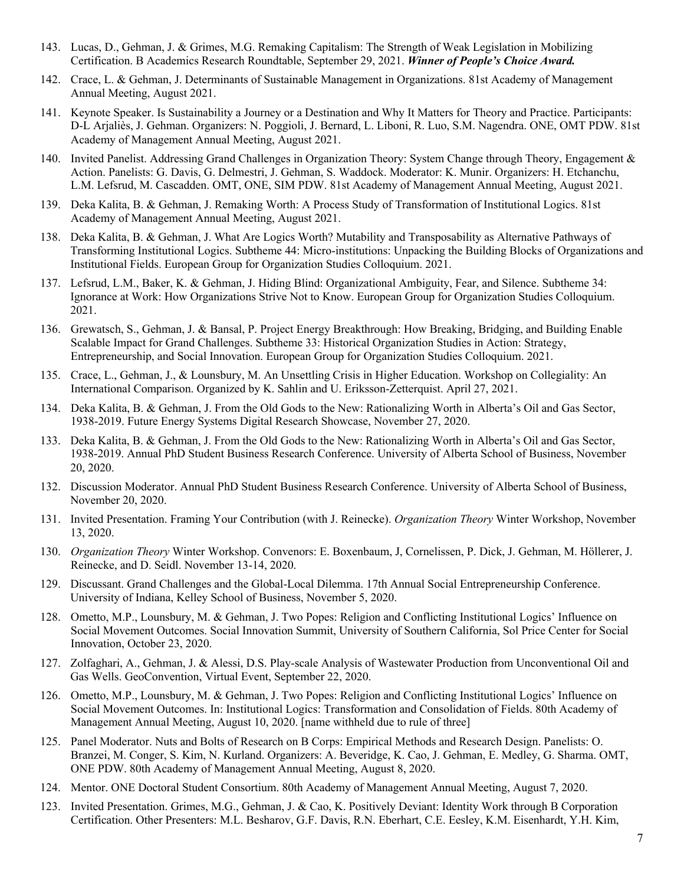- 143. Lucas, D., Gehman, J. & Grimes, M.G. Remaking Capitalism: The Strength of Weak Legislation in Mobilizing Certification. B Academics Research Roundtable, September 29, 2021. *Winner of People's Choice Award.*
- 142. Crace, L. & Gehman, J. Determinants of Sustainable Management in Organizations. 81st Academy of Management Annual Meeting, August 2021.
- 141. Keynote Speaker. Is Sustainability a Journey or a Destination and Why It Matters for Theory and Practice. Participants: D-L Arjaliès, J. Gehman. Organizers: N. Poggioli, J. Bernard, L. Liboni, R. Luo, S.M. Nagendra. ONE, OMT PDW. 81st Academy of Management Annual Meeting, August 2021.
- 140. Invited Panelist. Addressing Grand Challenges in Organization Theory: System Change through Theory, Engagement & Action. Panelists: G. Davis, G. Delmestri, J. Gehman, S. Waddock. Moderator: K. Munir. Organizers: H. Etchanchu, L.M. Lefsrud, M. Cascadden. OMT, ONE, SIM PDW. 81st Academy of Management Annual Meeting, August 2021.
- 139. Deka Kalita, B. & Gehman, J. Remaking Worth: A Process Study of Transformation of Institutional Logics. 81st Academy of Management Annual Meeting, August 2021.
- 138. Deka Kalita, B. & Gehman, J. What Are Logics Worth? Mutability and Transposability as Alternative Pathways of Transforming Institutional Logics. Subtheme 44: Micro-institutions: Unpacking the Building Blocks of Organizations and Institutional Fields. European Group for Organization Studies Colloquium. 2021.
- 137. Lefsrud, L.M., Baker, K. & Gehman, J. Hiding Blind: Organizational Ambiguity, Fear, and Silence. Subtheme 34: Ignorance at Work: How Organizations Strive Not to Know. European Group for Organization Studies Colloquium. 2021.
- 136. Grewatsch, S., Gehman, J. & Bansal, P. Project Energy Breakthrough: How Breaking, Bridging, and Building Enable Scalable Impact for Grand Challenges. Subtheme 33: Historical Organization Studies in Action: Strategy, Entrepreneurship, and Social Innovation. European Group for Organization Studies Colloquium. 2021.
- 135. Crace, L., Gehman, J., & Lounsbury, M. An Unsettling Crisis in Higher Education. Workshop on Collegiality: An International Comparison. Organized by K. Sahlin and U. Eriksson-Zetterquist. April 27, 2021.
- 134. Deka Kalita, B. & Gehman, J. From the Old Gods to the New: Rationalizing Worth in Alberta's Oil and Gas Sector, 1938-2019. Future Energy Systems Digital Research Showcase, November 27, 2020.
- 133. Deka Kalita, B. & Gehman, J. From the Old Gods to the New: Rationalizing Worth in Alberta's Oil and Gas Sector, 1938-2019. Annual PhD Student Business Research Conference. University of Alberta School of Business, November 20, 2020.
- 132. Discussion Moderator. Annual PhD Student Business Research Conference. University of Alberta School of Business, November 20, 2020.
- 131. Invited Presentation. Framing Your Contribution (with J. Reinecke). *Organization Theory* Winter Workshop, November 13, 2020.
- 130. *Organization Theory* Winter Workshop. Convenors: E. Boxenbaum, J, Cornelissen, P. Dick, J. Gehman, M. Höllerer, J. Reinecke, and D. Seidl. November 13-14, 2020.
- 129. Discussant. Grand Challenges and the Global-Local Dilemma. 17th Annual Social Entrepreneurship Conference. University of Indiana, Kelley School of Business, November 5, 2020.
- 128. Ometto, M.P., Lounsbury, M. & Gehman, J. Two Popes: Religion and Conflicting Institutional Logics' Influence on Social Movement Outcomes. Social Innovation Summit, University of Southern California, Sol Price Center for Social Innovation, October 23, 2020.
- 127. Zolfaghari, A., Gehman, J. & Alessi, D.S. Play-scale Analysis of Wastewater Production from Unconventional Oil and Gas Wells. GeoConvention, Virtual Event, September 22, 2020.
- 126. Ometto, M.P., Lounsbury, M. & Gehman, J. Two Popes: Religion and Conflicting Institutional Logics' Influence on Social Movement Outcomes. In: Institutional Logics: Transformation and Consolidation of Fields. 80th Academy of Management Annual Meeting, August 10, 2020. [name withheld due to rule of three]
- 125. Panel Moderator. Nuts and Bolts of Research on B Corps: Empirical Methods and Research Design. Panelists: O. Branzei, M. Conger, S. Kim, N. Kurland. Organizers: A. Beveridge, K. Cao, J. Gehman, E. Medley, G. Sharma. OMT, ONE PDW. 80th Academy of Management Annual Meeting, August 8, 2020.
- 124. Mentor. ONE Doctoral Student Consortium. 80th Academy of Management Annual Meeting, August 7, 2020.
- 123. Invited Presentation. Grimes, M.G., Gehman, J. & Cao, K. Positively Deviant: Identity Work through B Corporation Certification. Other Presenters: M.L. Besharov, G.F. Davis, R.N. Eberhart, C.E. Eesley, K.M. Eisenhardt, Y.H. Kim,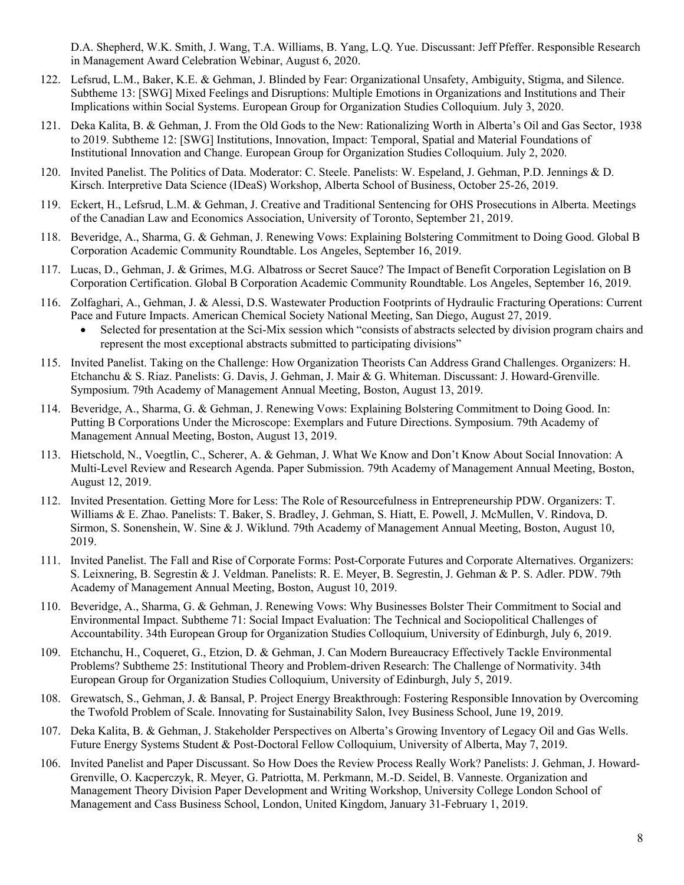D.A. Shepherd, W.K. Smith, J. Wang, T.A. Williams, B. Yang, L.Q. Yue. Discussant: Jeff Pfeffer. Responsible Research in Management Award Celebration Webinar, August 6, 2020.

- 122. Lefsrud, L.M., Baker, K.E. & Gehman, J. Blinded by Fear: Organizational Unsafety, Ambiguity, Stigma, and Silence. Subtheme 13: [SWG] Mixed Feelings and Disruptions: Multiple Emotions in Organizations and Institutions and Their Implications within Social Systems. European Group for Organization Studies Colloquium. July 3, 2020.
- 121. Deka Kalita, B. & Gehman, J. From the Old Gods to the New: Rationalizing Worth in Alberta's Oil and Gas Sector, 1938 to 2019. Subtheme 12: [SWG] Institutions, Innovation, Impact: Temporal, Spatial and Material Foundations of Institutional Innovation and Change. European Group for Organization Studies Colloquium. July 2, 2020.
- 120. Invited Panelist. The Politics of Data. Moderator: C. Steele. Panelists: W. Espeland, J. Gehman, P.D. Jennings & D. Kirsch. Interpretive Data Science (IDeaS) Workshop, Alberta School of Business, October 25-26, 2019.
- 119. Eckert, H., Lefsrud, L.M. & Gehman, J. Creative and Traditional Sentencing for OHS Prosecutions in Alberta. Meetings of the Canadian Law and Economics Association, University of Toronto, September 21, 2019.
- 118. Beveridge, A., Sharma, G. & Gehman, J. Renewing Vows: Explaining Bolstering Commitment to Doing Good. Global B Corporation Academic Community Roundtable. Los Angeles, September 16, 2019.
- 117. Lucas, D., Gehman, J. & Grimes, M.G. Albatross or Secret Sauce? The Impact of Benefit Corporation Legislation on B Corporation Certification. Global B Corporation Academic Community Roundtable. Los Angeles, September 16, 2019.
- 116. Zolfaghari, A., Gehman, J. & Alessi, D.S. Wastewater Production Footprints of Hydraulic Fracturing Operations: Current Pace and Future Impacts. American Chemical Society National Meeting, San Diego, August 27, 2019.
	- Selected for presentation at the Sci-Mix session which "consists of abstracts selected by division program chairs and represent the most exceptional abstracts submitted to participating divisions"
- 115. Invited Panelist. Taking on the Challenge: How Organization Theorists Can Address Grand Challenges. Organizers: H. Etchanchu & S. Riaz. Panelists: G. Davis, J. Gehman, J. Mair & G. Whiteman. Discussant: J. Howard-Grenville. Symposium. 79th Academy of Management Annual Meeting, Boston, August 13, 2019.
- 114. Beveridge, A., Sharma, G. & Gehman, J. Renewing Vows: Explaining Bolstering Commitment to Doing Good. In: Putting B Corporations Under the Microscope: Exemplars and Future Directions. Symposium. 79th Academy of Management Annual Meeting, Boston, August 13, 2019.
- 113. Hietschold, N., Voegtlin, C., Scherer, A. & Gehman, J. What We Know and Don't Know About Social Innovation: A Multi-Level Review and Research Agenda. Paper Submission. 79th Academy of Management Annual Meeting, Boston, August 12, 2019.
- 112. Invited Presentation. Getting More for Less: The Role of Resourcefulness in Entrepreneurship PDW. Organizers: T. Williams & E. Zhao. Panelists: T. Baker, S. Bradley, J. Gehman, S. Hiatt, E. Powell, J. McMullen, V. Rindova, D. Sirmon, S. Sonenshein, W. Sine & J. Wiklund. 79th Academy of Management Annual Meeting, Boston, August 10, 2019.
- 111. Invited Panelist. The Fall and Rise of Corporate Forms: Post-Corporate Futures and Corporate Alternatives. Organizers: S. Leixnering, B. Segrestin & J. Veldman. Panelists: R. E. Meyer, B. Segrestin, J. Gehman & P. S. Adler. PDW. 79th Academy of Management Annual Meeting, Boston, August 10, 2019.
- 110. Beveridge, A., Sharma, G. & Gehman, J. Renewing Vows: Why Businesses Bolster Their Commitment to Social and Environmental Impact. Subtheme 71: Social Impact Evaluation: The Technical and Sociopolitical Challenges of Accountability. 34th European Group for Organization Studies Colloquium, University of Edinburgh, July 6, 2019.
- 109. Etchanchu, H., Coqueret, G., Etzion, D. & Gehman, J. Can Modern Bureaucracy Effectively Tackle Environmental Problems? Subtheme 25: Institutional Theory and Problem-driven Research: The Challenge of Normativity. 34th European Group for Organization Studies Colloquium, University of Edinburgh, July 5, 2019.
- 108. Grewatsch, S., Gehman, J. & Bansal, P. Project Energy Breakthrough: Fostering Responsible Innovation by Overcoming the Twofold Problem of Scale. Innovating for Sustainability Salon, Ivey Business School, June 19, 2019.
- 107. Deka Kalita, B. & Gehman, J. Stakeholder Perspectives on Alberta's Growing Inventory of Legacy Oil and Gas Wells. Future Energy Systems Student & Post-Doctoral Fellow Colloquium, University of Alberta, May 7, 2019.
- 106. Invited Panelist and Paper Discussant. So How Does the Review Process Really Work? Panelists: J. Gehman, J. Howard-Grenville, O. Kacperczyk, R. Meyer, G. Patriotta, M. Perkmann, M.-D. Seidel, B. Vanneste. Organization and Management Theory Division Paper Development and Writing Workshop, University College London School of Management and Cass Business School, London, United Kingdom, January 31-February 1, 2019.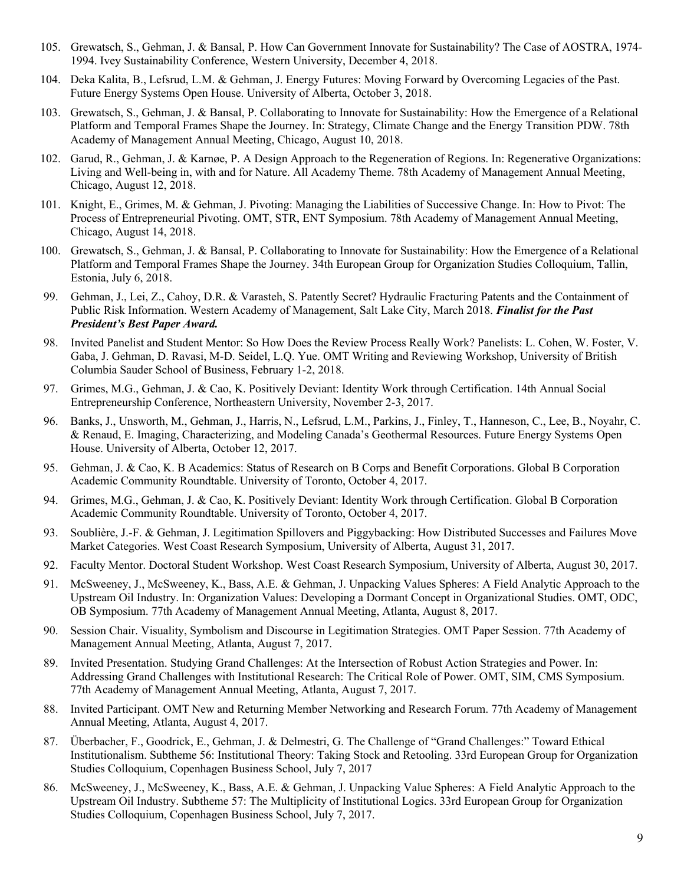- 105. Grewatsch, S., Gehman, J. & Bansal, P. How Can Government Innovate for Sustainability? The Case of AOSTRA, 1974- 1994. Ivey Sustainability Conference, Western University, December 4, 2018.
- 104. Deka Kalita, B., Lefsrud, L.M. & Gehman, J. Energy Futures: Moving Forward by Overcoming Legacies of the Past. Future Energy Systems Open House. University of Alberta, October 3, 2018.
- 103. Grewatsch, S., Gehman, J. & Bansal, P. Collaborating to Innovate for Sustainability: How the Emergence of a Relational Platform and Temporal Frames Shape the Journey. In: Strategy, Climate Change and the Energy Transition PDW. 78th Academy of Management Annual Meeting, Chicago, August 10, 2018.
- 102. Garud, R., Gehman, J. & Karnøe, P. A Design Approach to the Regeneration of Regions. In: Regenerative Organizations: Living and Well-being in, with and for Nature. All Academy Theme. 78th Academy of Management Annual Meeting, Chicago, August 12, 2018.
- 101. Knight, E., Grimes, M. & Gehman, J. Pivoting: Managing the Liabilities of Successive Change. In: How to Pivot: The Process of Entrepreneurial Pivoting. OMT, STR, ENT Symposium. 78th Academy of Management Annual Meeting, Chicago, August 14, 2018.
- 100. Grewatsch, S., Gehman, J. & Bansal, P. Collaborating to Innovate for Sustainability: How the Emergence of a Relational Platform and Temporal Frames Shape the Journey. 34th European Group for Organization Studies Colloquium, Tallin, Estonia, July 6, 2018.
- 99. Gehman, J., Lei, Z., Cahoy, D.R. & Varasteh, S. Patently Secret? Hydraulic Fracturing Patents and the Containment of Public Risk Information. Western Academy of Management, Salt Lake City, March 2018. *Finalist for the Past President's Best Paper Award.*
- 98. Invited Panelist and Student Mentor: So How Does the Review Process Really Work? Panelists: L. Cohen, W. Foster, V. Gaba, J. Gehman, D. Ravasi, M-D. Seidel, L.Q. Yue. OMT Writing and Reviewing Workshop, University of British Columbia Sauder School of Business, February 1-2, 2018.
- 97. Grimes, M.G., Gehman, J. & Cao, K. Positively Deviant: Identity Work through Certification. 14th Annual Social Entrepreneurship Conference, Northeastern University, November 2-3, 2017.
- 96. Banks, J., Unsworth, M., Gehman, J., Harris, N., Lefsrud, L.M., Parkins, J., Finley, T., Hanneson, C., Lee, B., Noyahr, C. & Renaud, E. Imaging, Characterizing, and Modeling Canada's Geothermal Resources. Future Energy Systems Open House. University of Alberta, October 12, 2017.
- 95. Gehman, J. & Cao, K. B Academics: Status of Research on B Corps and Benefit Corporations. Global B Corporation Academic Community Roundtable. University of Toronto, October 4, 2017.
- 94. Grimes, M.G., Gehman, J. & Cao, K. Positively Deviant: Identity Work through Certification. Global B Corporation Academic Community Roundtable. University of Toronto, October 4, 2017.
- 93. Soublière, J.-F. & Gehman, J. Legitimation Spillovers and Piggybacking: How Distributed Successes and Failures Move Market Categories. West Coast Research Symposium, University of Alberta, August 31, 2017.
- 92. Faculty Mentor. Doctoral Student Workshop. West Coast Research Symposium, University of Alberta, August 30, 2017.
- 91. McSweeney, J., McSweeney, K., Bass, A.E. & Gehman, J. Unpacking Values Spheres: A Field Analytic Approach to the Upstream Oil Industry. In: Organization Values: Developing a Dormant Concept in Organizational Studies. OMT, ODC, OB Symposium. 77th Academy of Management Annual Meeting, Atlanta, August 8, 2017.
- 90. Session Chair. Visuality, Symbolism and Discourse in Legitimation Strategies. OMT Paper Session. 77th Academy of Management Annual Meeting, Atlanta, August 7, 2017.
- 89. Invited Presentation. Studying Grand Challenges: At the Intersection of Robust Action Strategies and Power. In: Addressing Grand Challenges with Institutional Research: The Critical Role of Power. OMT, SIM, CMS Symposium. 77th Academy of Management Annual Meeting, Atlanta, August 7, 2017.
- 88. Invited Participant. OMT New and Returning Member Networking and Research Forum. 77th Academy of Management Annual Meeting, Atlanta, August 4, 2017.
- 87. Überbacher, F., Goodrick, E., Gehman, J. & Delmestri, G. The Challenge of "Grand Challenges:" Toward Ethical Institutionalism. Subtheme 56: Institutional Theory: Taking Stock and Retooling. 33rd European Group for Organization Studies Colloquium, Copenhagen Business School, July 7, 2017
- 86. McSweeney, J., McSweeney, K., Bass, A.E. & Gehman, J. Unpacking Value Spheres: A Field Analytic Approach to the Upstream Oil Industry. Subtheme 57: The Multiplicity of Institutional Logics. 33rd European Group for Organization Studies Colloquium, Copenhagen Business School, July 7, 2017.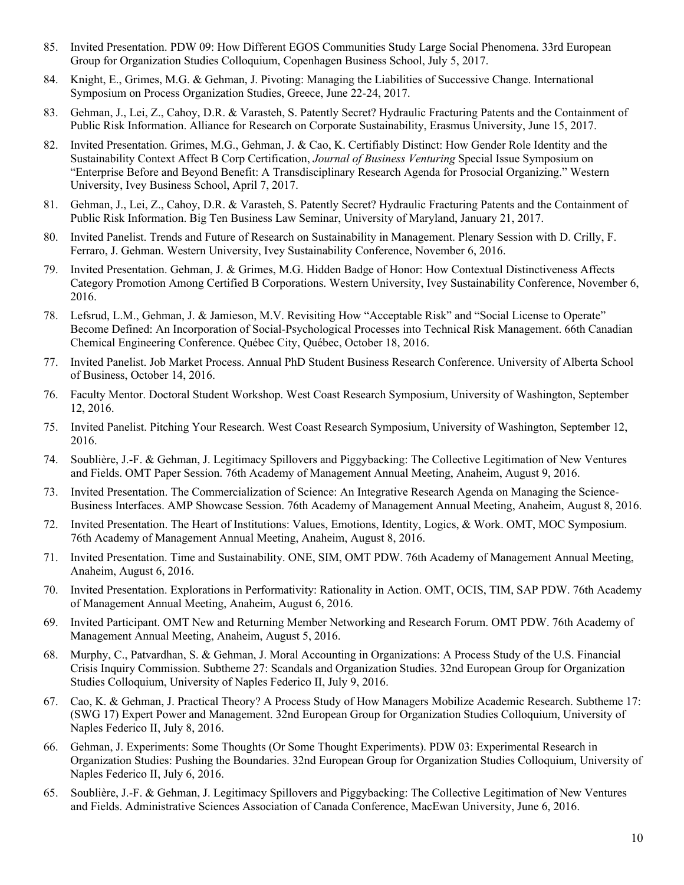- 85. Invited Presentation. PDW 09: How Different EGOS Communities Study Large Social Phenomena. 33rd European Group for Organization Studies Colloquium, Copenhagen Business School, July 5, 2017.
- 84. Knight, E., Grimes, M.G. & Gehman, J. Pivoting: Managing the Liabilities of Successive Change. International Symposium on Process Organization Studies, Greece, June 22-24, 2017.
- 83. Gehman, J., Lei, Z., Cahoy, D.R. & Varasteh, S. Patently Secret? Hydraulic Fracturing Patents and the Containment of Public Risk Information. Alliance for Research on Corporate Sustainability, Erasmus University, June 15, 2017.
- 82. Invited Presentation. Grimes, M.G., Gehman, J. & Cao, K. Certifiably Distinct: How Gender Role Identity and the Sustainability Context Affect B Corp Certification, *Journal of Business Venturing* Special Issue Symposium on "Enterprise Before and Beyond Benefit: A Transdisciplinary Research Agenda for Prosocial Organizing." Western University, Ivey Business School, April 7, 2017.
- 81. Gehman, J., Lei, Z., Cahoy, D.R. & Varasteh, S. Patently Secret? Hydraulic Fracturing Patents and the Containment of Public Risk Information. Big Ten Business Law Seminar, University of Maryland, January 21, 2017.
- 80. Invited Panelist. Trends and Future of Research on Sustainability in Management. Plenary Session with D. Crilly, F. Ferraro, J. Gehman. Western University, Ivey Sustainability Conference, November 6, 2016.
- 79. Invited Presentation. Gehman, J. & Grimes, M.G. Hidden Badge of Honor: How Contextual Distinctiveness Affects Category Promotion Among Certified B Corporations. Western University, Ivey Sustainability Conference, November 6, 2016.
- 78. Lefsrud, L.M., Gehman, J. & Jamieson, M.V. Revisiting How "Acceptable Risk" and "Social License to Operate" Become Defined: An Incorporation of Social-Psychological Processes into Technical Risk Management. 66th Canadian Chemical Engineering Conference. Québec City, Québec, October 18, 2016.
- 77. Invited Panelist. Job Market Process. Annual PhD Student Business Research Conference. University of Alberta School of Business, October 14, 2016.
- 76. Faculty Mentor. Doctoral Student Workshop. West Coast Research Symposium, University of Washington, September 12, 2016.
- 75. Invited Panelist. Pitching Your Research. West Coast Research Symposium, University of Washington, September 12, 2016.
- 74. Soublière, J.-F. & Gehman, J. Legitimacy Spillovers and Piggybacking: The Collective Legitimation of New Ventures and Fields. OMT Paper Session. 76th Academy of Management Annual Meeting, Anaheim, August 9, 2016.
- 73. Invited Presentation. The Commercialization of Science: An Integrative Research Agenda on Managing the Science-Business Interfaces. AMP Showcase Session. 76th Academy of Management Annual Meeting, Anaheim, August 8, 2016.
- 72. Invited Presentation. The Heart of Institutions: Values, Emotions, Identity, Logics, & Work. OMT, MOC Symposium. 76th Academy of Management Annual Meeting, Anaheim, August 8, 2016.
- 71. Invited Presentation. Time and Sustainability. ONE, SIM, OMT PDW. 76th Academy of Management Annual Meeting, Anaheim, August 6, 2016.
- 70. Invited Presentation. Explorations in Performativity: Rationality in Action. OMT, OCIS, TIM, SAP PDW. 76th Academy of Management Annual Meeting, Anaheim, August 6, 2016.
- 69. Invited Participant. OMT New and Returning Member Networking and Research Forum. OMT PDW. 76th Academy of Management Annual Meeting, Anaheim, August 5, 2016.
- 68. Murphy, C., Patvardhan, S. & Gehman, J. Moral Accounting in Organizations: A Process Study of the U.S. Financial Crisis Inquiry Commission. Subtheme 27: Scandals and Organization Studies. 32nd European Group for Organization Studies Colloquium, University of Naples Federico II, July 9, 2016.
- 67. Cao, K. & Gehman, J. Practical Theory? A Process Study of How Managers Mobilize Academic Research. Subtheme 17: (SWG 17) Expert Power and Management. 32nd European Group for Organization Studies Colloquium, University of Naples Federico II, July 8, 2016.
- 66. Gehman, J. Experiments: Some Thoughts (Or Some Thought Experiments). PDW 03: Experimental Research in Organization Studies: Pushing the Boundaries. 32nd European Group for Organization Studies Colloquium, University of Naples Federico II, July 6, 2016.
- 65. Soublière, J.-F. & Gehman, J. Legitimacy Spillovers and Piggybacking: The Collective Legitimation of New Ventures and Fields. Administrative Sciences Association of Canada Conference, MacEwan University, June 6, 2016.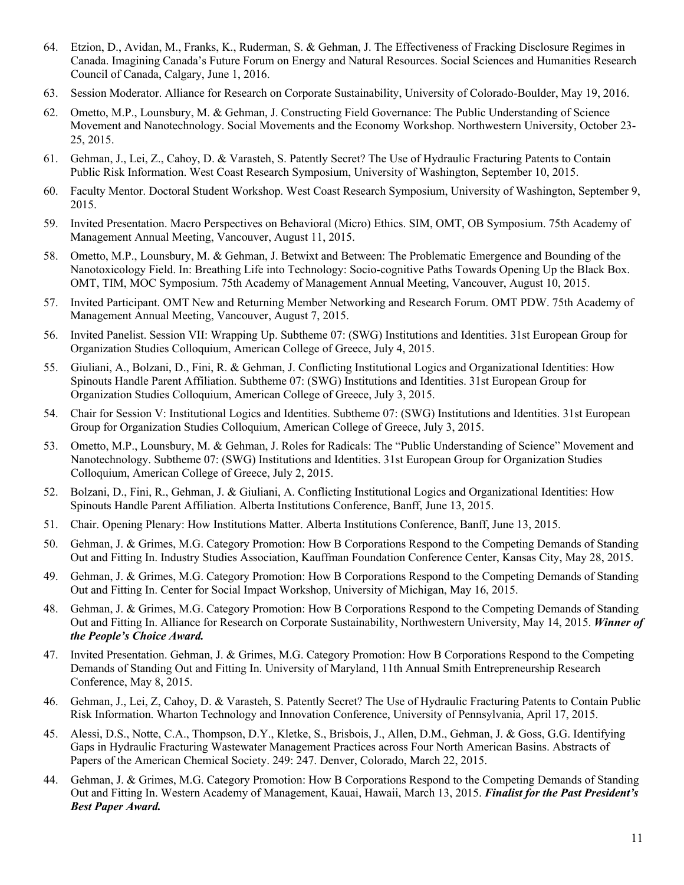- 64. Etzion, D., Avidan, M., Franks, K., Ruderman, S. & Gehman, J. The Effectiveness of Fracking Disclosure Regimes in Canada. Imagining Canada's Future Forum on Energy and Natural Resources. Social Sciences and Humanities Research Council of Canada, Calgary, June 1, 2016.
- 63. Session Moderator. Alliance for Research on Corporate Sustainability, University of Colorado-Boulder, May 19, 2016.
- 62. Ometto, M.P., Lounsbury, M. & Gehman, J. Constructing Field Governance: The Public Understanding of Science Movement and Nanotechnology. Social Movements and the Economy Workshop. Northwestern University, October 23- 25, 2015.
- 61. Gehman, J., Lei, Z., Cahoy, D. & Varasteh, S. Patently Secret? The Use of Hydraulic Fracturing Patents to Contain Public Risk Information. West Coast Research Symposium, University of Washington, September 10, 2015.
- 60. Faculty Mentor. Doctoral Student Workshop. West Coast Research Symposium, University of Washington, September 9, 2015.
- 59. Invited Presentation. Macro Perspectives on Behavioral (Micro) Ethics. SIM, OMT, OB Symposium. 75th Academy of Management Annual Meeting, Vancouver, August 11, 2015.
- 58. Ometto, M.P., Lounsbury, M. & Gehman, J. Betwixt and Between: The Problematic Emergence and Bounding of the Nanotoxicology Field. In: Breathing Life into Technology: Socio-cognitive Paths Towards Opening Up the Black Box. OMT, TIM, MOC Symposium. 75th Academy of Management Annual Meeting, Vancouver, August 10, 2015.
- 57. Invited Participant. OMT New and Returning Member Networking and Research Forum. OMT PDW. 75th Academy of Management Annual Meeting, Vancouver, August 7, 2015.
- 56. Invited Panelist. Session VII: Wrapping Up. Subtheme 07: (SWG) Institutions and Identities. 31st European Group for Organization Studies Colloquium, American College of Greece, July 4, 2015.
- 55. Giuliani, A., Bolzani, D., Fini, R. & Gehman, J. Conflicting Institutional Logics and Organizational Identities: How Spinouts Handle Parent Affiliation. Subtheme 07: (SWG) Institutions and Identities. 31st European Group for Organization Studies Colloquium, American College of Greece, July 3, 2015.
- 54. Chair for Session V: Institutional Logics and Identities. Subtheme 07: (SWG) Institutions and Identities. 31st European Group for Organization Studies Colloquium, American College of Greece, July 3, 2015.
- 53. Ometto, M.P., Lounsbury, M. & Gehman, J. Roles for Radicals: The "Public Understanding of Science" Movement and Nanotechnology. Subtheme 07: (SWG) Institutions and Identities. 31st European Group for Organization Studies Colloquium, American College of Greece, July 2, 2015.
- 52. Bolzani, D., Fini, R., Gehman, J. & Giuliani, A. Conflicting Institutional Logics and Organizational Identities: How Spinouts Handle Parent Affiliation. Alberta Institutions Conference, Banff, June 13, 2015.
- 51. Chair. Opening Plenary: How Institutions Matter. Alberta Institutions Conference, Banff, June 13, 2015.
- 50. Gehman, J. & Grimes, M.G. Category Promotion: How B Corporations Respond to the Competing Demands of Standing Out and Fitting In. Industry Studies Association, Kauffman Foundation Conference Center, Kansas City, May 28, 2015.
- 49. Gehman, J. & Grimes, M.G. Category Promotion: How B Corporations Respond to the Competing Demands of Standing Out and Fitting In. Center for Social Impact Workshop, University of Michigan, May 16, 2015.
- 48. Gehman, J. & Grimes, M.G. Category Promotion: How B Corporations Respond to the Competing Demands of Standing Out and Fitting In. Alliance for Research on Corporate Sustainability, Northwestern University, May 14, 2015. *Winner of the People's Choice Award.*
- 47. Invited Presentation. Gehman, J. & Grimes, M.G. Category Promotion: How B Corporations Respond to the Competing Demands of Standing Out and Fitting In. University of Maryland, 11th Annual Smith Entrepreneurship Research Conference, May 8, 2015.
- 46. Gehman, J., Lei, Z, Cahoy, D. & Varasteh, S. Patently Secret? The Use of Hydraulic Fracturing Patents to Contain Public Risk Information. Wharton Technology and Innovation Conference, University of Pennsylvania, April 17, 2015.
- 45. Alessi, D.S., Notte, C.A., Thompson, D.Y., Kletke, S., Brisbois, J., Allen, D.M., Gehman, J. & Goss, G.G. Identifying Gaps in Hydraulic Fracturing Wastewater Management Practices across Four North American Basins. Abstracts of Papers of the American Chemical Society. 249: 247. Denver, Colorado, March 22, 2015.
- 44. Gehman, J. & Grimes, M.G. Category Promotion: How B Corporations Respond to the Competing Demands of Standing Out and Fitting In. Western Academy of Management, Kauai, Hawaii, March 13, 2015. *Finalist for the Past President's Best Paper Award.*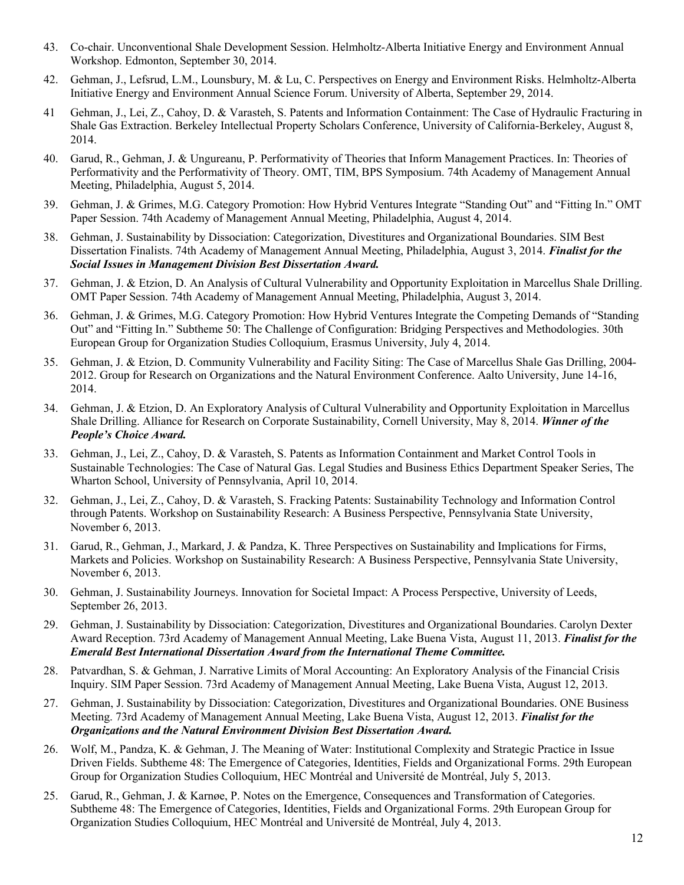- 43. Co-chair. Unconventional Shale Development Session. Helmholtz-Alberta Initiative Energy and Environment Annual Workshop. Edmonton, September 30, 2014.
- 42. Gehman, J., Lefsrud, L.M., Lounsbury, M. & Lu, C. Perspectives on Energy and Environment Risks. Helmholtz-Alberta Initiative Energy and Environment Annual Science Forum. University of Alberta, September 29, 2014.
- 41 Gehman, J., Lei, Z., Cahoy, D. & Varasteh, S. Patents and Information Containment: The Case of Hydraulic Fracturing in Shale Gas Extraction. Berkeley Intellectual Property Scholars Conference, University of California-Berkeley, August 8, 2014.
- 40. Garud, R., Gehman, J. & Ungureanu, P. Performativity of Theories that Inform Management Practices. In: Theories of Performativity and the Performativity of Theory. OMT, TIM, BPS Symposium. 74th Academy of Management Annual Meeting, Philadelphia, August 5, 2014.
- 39. Gehman, J. & Grimes, M.G. Category Promotion: How Hybrid Ventures Integrate "Standing Out" and "Fitting In." OMT Paper Session. 74th Academy of Management Annual Meeting, Philadelphia, August 4, 2014.
- 38. Gehman, J. Sustainability by Dissociation: Categorization, Divestitures and Organizational Boundaries. SIM Best Dissertation Finalists. 74th Academy of Management Annual Meeting, Philadelphia, August 3, 2014. *Finalist for the Social Issues in Management Division Best Dissertation Award.*
- 37. Gehman, J. & Etzion, D. An Analysis of Cultural Vulnerability and Opportunity Exploitation in Marcellus Shale Drilling. OMT Paper Session. 74th Academy of Management Annual Meeting, Philadelphia, August 3, 2014.
- 36. Gehman, J. & Grimes, M.G. Category Promotion: How Hybrid Ventures Integrate the Competing Demands of "Standing Out" and "Fitting In." Subtheme 50: The Challenge of Configuration: Bridging Perspectives and Methodologies. 30th European Group for Organization Studies Colloquium, Erasmus University, July 4, 2014.
- 35. Gehman, J. & Etzion, D. Community Vulnerability and Facility Siting: The Case of Marcellus Shale Gas Drilling, 2004- 2012. Group for Research on Organizations and the Natural Environment Conference. Aalto University, June 14-16, 2014.
- 34. Gehman, J. & Etzion, D. An Exploratory Analysis of Cultural Vulnerability and Opportunity Exploitation in Marcellus Shale Drilling. Alliance for Research on Corporate Sustainability, Cornell University, May 8, 2014. *Winner of the People's Choice Award.*
- 33. Gehman, J., Lei, Z., Cahoy, D. & Varasteh, S. Patents as Information Containment and Market Control Tools in Sustainable Technologies: The Case of Natural Gas. Legal Studies and Business Ethics Department Speaker Series, The Wharton School, University of Pennsylvania, April 10, 2014.
- 32. Gehman, J., Lei, Z., Cahoy, D. & Varasteh, S. Fracking Patents: Sustainability Technology and Information Control through Patents. Workshop on Sustainability Research: A Business Perspective, Pennsylvania State University, November 6, 2013.
- 31. Garud, R., Gehman, J., Markard, J. & Pandza, K. Three Perspectives on Sustainability and Implications for Firms, Markets and Policies. Workshop on Sustainability Research: A Business Perspective, Pennsylvania State University, November 6, 2013.
- 30. Gehman, J. Sustainability Journeys. Innovation for Societal Impact: A Process Perspective, University of Leeds, September 26, 2013.
- 29. Gehman, J. Sustainability by Dissociation: Categorization, Divestitures and Organizational Boundaries. Carolyn Dexter Award Reception. 73rd Academy of Management Annual Meeting, Lake Buena Vista, August 11, 2013. *Finalist for the Emerald Best International Dissertation Award from the International Theme Committee.*
- 28. Patvardhan, S. & Gehman, J. Narrative Limits of Moral Accounting: An Exploratory Analysis of the Financial Crisis Inquiry. SIM Paper Session. 73rd Academy of Management Annual Meeting, Lake Buena Vista, August 12, 2013.
- 27. Gehman, J. Sustainability by Dissociation: Categorization, Divestitures and Organizational Boundaries. ONE Business Meeting. 73rd Academy of Management Annual Meeting, Lake Buena Vista, August 12, 2013. *Finalist for the Organizations and the Natural Environment Division Best Dissertation Award.*
- 26. Wolf, M., Pandza, K. & Gehman, J. The Meaning of Water: Institutional Complexity and Strategic Practice in Issue Driven Fields. Subtheme 48: The Emergence of Categories, Identities, Fields and Organizational Forms. 29th European Group for Organization Studies Colloquium, HEC Montréal and Université de Montréal, July 5, 2013.
- 25. Garud, R., Gehman, J. & Karnøe, P. Notes on the Emergence, Consequences and Transformation of Categories. Subtheme 48: The Emergence of Categories, Identities, Fields and Organizational Forms. 29th European Group for Organization Studies Colloquium, HEC Montréal and Université de Montréal, July 4, 2013.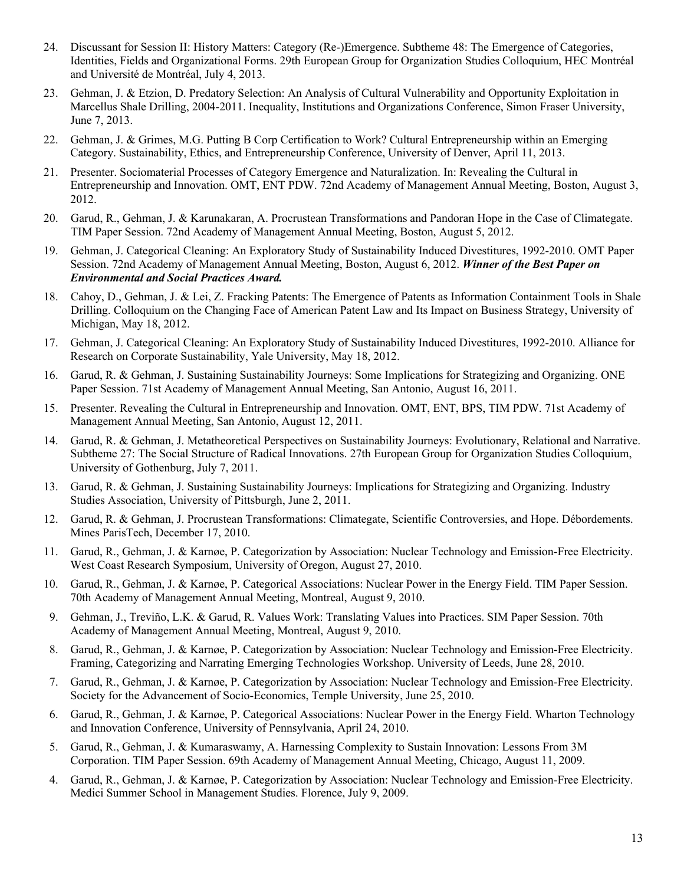- 24. Discussant for Session II: History Matters: Category (Re-)Emergence. Subtheme 48: The Emergence of Categories, Identities, Fields and Organizational Forms. 29th European Group for Organization Studies Colloquium, HEC Montréal and Université de Montréal, July 4, 2013.
- 23. Gehman, J. & Etzion, D. Predatory Selection: An Analysis of Cultural Vulnerability and Opportunity Exploitation in Marcellus Shale Drilling, 2004-2011. Inequality, Institutions and Organizations Conference, Simon Fraser University, June 7, 2013.
- 22. Gehman, J. & Grimes, M.G. Putting B Corp Certification to Work? Cultural Entrepreneurship within an Emerging Category. Sustainability, Ethics, and Entrepreneurship Conference, University of Denver, April 11, 2013.
- 21. Presenter. Sociomaterial Processes of Category Emergence and Naturalization. In: Revealing the Cultural in Entrepreneurship and Innovation. OMT, ENT PDW. 72nd Academy of Management Annual Meeting, Boston, August 3, 2012.
- 20. Garud, R., Gehman, J. & Karunakaran, A. Procrustean Transformations and Pandoran Hope in the Case of Climategate. TIM Paper Session. 72nd Academy of Management Annual Meeting, Boston, August 5, 2012.
- 19. Gehman, J. Categorical Cleaning: An Exploratory Study of Sustainability Induced Divestitures, 1992-2010. OMT Paper Session. 72nd Academy of Management Annual Meeting, Boston, August 6, 2012. *Winner of the Best Paper on Environmental and Social Practices Award.*
- 18. Cahoy, D., Gehman, J. & Lei, Z. Fracking Patents: The Emergence of Patents as Information Containment Tools in Shale Drilling. Colloquium on the Changing Face of American Patent Law and Its Impact on Business Strategy, University of Michigan, May 18, 2012.
- 17. Gehman, J. Categorical Cleaning: An Exploratory Study of Sustainability Induced Divestitures, 1992-2010. Alliance for Research on Corporate Sustainability, Yale University, May 18, 2012.
- 16. Garud, R. & Gehman, J. Sustaining Sustainability Journeys: Some Implications for Strategizing and Organizing. ONE Paper Session. 71st Academy of Management Annual Meeting, San Antonio, August 16, 2011.
- 15. Presenter. Revealing the Cultural in Entrepreneurship and Innovation. OMT, ENT, BPS, TIM PDW. 71st Academy of Management Annual Meeting, San Antonio, August 12, 2011.
- 14. Garud, R. & Gehman, J. Metatheoretical Perspectives on Sustainability Journeys: Evolutionary, Relational and Narrative. Subtheme 27: The Social Structure of Radical Innovations. 27th European Group for Organization Studies Colloquium, University of Gothenburg, July 7, 2011.
- 13. Garud, R. & Gehman, J. Sustaining Sustainability Journeys: Implications for Strategizing and Organizing. Industry Studies Association, University of Pittsburgh, June 2, 2011.
- 12. Garud, R. & Gehman, J. Procrustean Transformations: Climategate, Scientific Controversies, and Hope. Débordements. Mines ParisTech, December 17, 2010.
- 11. Garud, R., Gehman, J. & Karnøe, P. Categorization by Association: Nuclear Technology and Emission-Free Electricity. West Coast Research Symposium, University of Oregon, August 27, 2010.
- 10. Garud, R., Gehman, J. & Karnøe, P. Categorical Associations: Nuclear Power in the Energy Field. TIM Paper Session. 70th Academy of Management Annual Meeting, Montreal, August 9, 2010.
- 9. Gehman, J., Treviño, L.K. & Garud, R. Values Work: Translating Values into Practices. SIM Paper Session. 70th Academy of Management Annual Meeting, Montreal, August 9, 2010.
- 8. Garud, R., Gehman, J. & Karnøe, P. Categorization by Association: Nuclear Technology and Emission-Free Electricity. Framing, Categorizing and Narrating Emerging Technologies Workshop. University of Leeds, June 28, 2010.
- 7. Garud, R., Gehman, J. & Karnøe, P. Categorization by Association: Nuclear Technology and Emission-Free Electricity. Society for the Advancement of Socio-Economics, Temple University, June 25, 2010.
- 6. Garud, R., Gehman, J. & Karnøe, P. Categorical Associations: Nuclear Power in the Energy Field. Wharton Technology and Innovation Conference, University of Pennsylvania, April 24, 2010.
- 5. Garud, R., Gehman, J. & Kumaraswamy, A. Harnessing Complexity to Sustain Innovation: Lessons From 3M Corporation. TIM Paper Session. 69th Academy of Management Annual Meeting, Chicago, August 11, 2009.
- 4. Garud, R., Gehman, J. & Karnøe, P. Categorization by Association: Nuclear Technology and Emission-Free Electricity. Medici Summer School in Management Studies. Florence, July 9, 2009.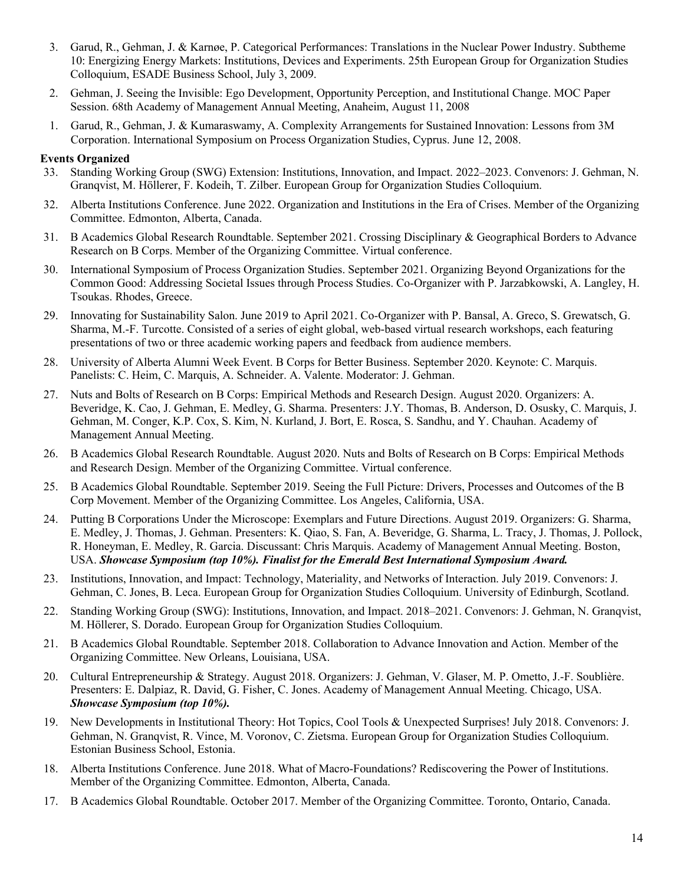- 3. Garud, R., Gehman, J. & Karnøe, P. Categorical Performances: Translations in the Nuclear Power Industry. Subtheme 10: Energizing Energy Markets: Institutions, Devices and Experiments. 25th European Group for Organization Studies Colloquium, ESADE Business School, July 3, 2009.
- 2. Gehman, J. Seeing the Invisible: Ego Development, Opportunity Perception, and Institutional Change. MOC Paper Session. 68th Academy of Management Annual Meeting, Anaheim, August 11, 2008
- 1. Garud, R., Gehman, J. & Kumaraswamy, A. Complexity Arrangements for Sustained Innovation: Lessons from 3M Corporation. International Symposium on Process Organization Studies, Cyprus. June 12, 2008.

### **Events Organized**

- 33. Standing Working Group (SWG) Extension: Institutions, Innovation, and Impact. 2022–2023. Convenors: J. Gehman, N. Granqvist, M. Höllerer, F. Kodeih, T. Zilber. European Group for Organization Studies Colloquium.
- 32. Alberta Institutions Conference. June 2022. Organization and Institutions in the Era of Crises. Member of the Organizing Committee. Edmonton, Alberta, Canada.
- 31. B Academics Global Research Roundtable. September 2021. Crossing Disciplinary & Geographical Borders to Advance Research on B Corps. Member of the Organizing Committee. Virtual conference.
- 30. International Symposium of Process Organization Studies. September 2021. Organizing Beyond Organizations for the Common Good: Addressing Societal Issues through Process Studies. Co-Organizer with P. Jarzabkowski, A. Langley, H. Tsoukas. Rhodes, Greece.
- 29. Innovating for Sustainability Salon. June 2019 to April 2021. Co-Organizer with P. Bansal, A. Greco, S. Grewatsch, G. Sharma, M.-F. Turcotte. Consisted of a series of eight global, web-based virtual research workshops, each featuring presentations of two or three academic working papers and feedback from audience members.
- 28. University of Alberta Alumni Week Event. B Corps for Better Business. September 2020. Keynote: C. Marquis. Panelists: C. Heim, C. Marquis, A. Schneider. A. Valente. Moderator: J. Gehman.
- 27. Nuts and Bolts of Research on B Corps: Empirical Methods and Research Design. August 2020. Organizers: A. Beveridge, K. Cao, J. Gehman, E. Medley, G. Sharma. Presenters: J.Y. Thomas, B. Anderson, D. Osusky, C. Marquis, J. Gehman, M. Conger, K.P. Cox, S. Kim, N. Kurland, J. Bort, E. Rosca, S. Sandhu, and Y. Chauhan. Academy of Management Annual Meeting.
- 26. B Academics Global Research Roundtable. August 2020. Nuts and Bolts of Research on B Corps: Empirical Methods and Research Design. Member of the Organizing Committee. Virtual conference.
- 25. B Academics Global Roundtable. September 2019. Seeing the Full Picture: Drivers, Processes and Outcomes of the B Corp Movement. Member of the Organizing Committee. Los Angeles, California, USA.
- 24. Putting B Corporations Under the Microscope: Exemplars and Future Directions. August 2019. Organizers: G. Sharma, E. Medley, J. Thomas, J. Gehman. Presenters: K. Qiao, S. Fan, A. Beveridge, G. Sharma, L. Tracy, J. Thomas, J. Pollock, R. Honeyman, E. Medley, R. Garcia. Discussant: Chris Marquis. Academy of Management Annual Meeting. Boston, USA. *Showcase Symposium (top 10%). Finalist for the Emerald Best International Symposium Award.*
- 23. Institutions, Innovation, and Impact: Technology, Materiality, and Networks of Interaction. July 2019. Convenors: J. Gehman, C. Jones, B. Leca. European Group for Organization Studies Colloquium. University of Edinburgh, Scotland.
- 22. Standing Working Group (SWG): Institutions, Innovation, and Impact. 2018–2021. Convenors: J. Gehman, N. Granqvist, M. Höllerer, S. Dorado. European Group for Organization Studies Colloquium.
- 21. B Academics Global Roundtable. September 2018. Collaboration to Advance Innovation and Action. Member of the Organizing Committee. New Orleans, Louisiana, USA.
- 20. Cultural Entrepreneurship & Strategy. August 2018. Organizers: J. Gehman, V. Glaser, M. P. Ometto, J.-F. Soublière. Presenters: E. Dalpiaz, R. David, G. Fisher, C. Jones. Academy of Management Annual Meeting. Chicago, USA. *Showcase Symposium (top 10%).*
- 19. New Developments in Institutional Theory: Hot Topics, Cool Tools & Unexpected Surprises! July 2018. Convenors: J. Gehman, N. Granqvist, R. Vince, M. Voronov, C. Zietsma. European Group for Organization Studies Colloquium. Estonian Business School, Estonia.
- 18. Alberta Institutions Conference. June 2018. What of Macro-Foundations? Rediscovering the Power of Institutions. Member of the Organizing Committee. Edmonton, Alberta, Canada.
- 17. B Academics Global Roundtable. October 2017. Member of the Organizing Committee. Toronto, Ontario, Canada.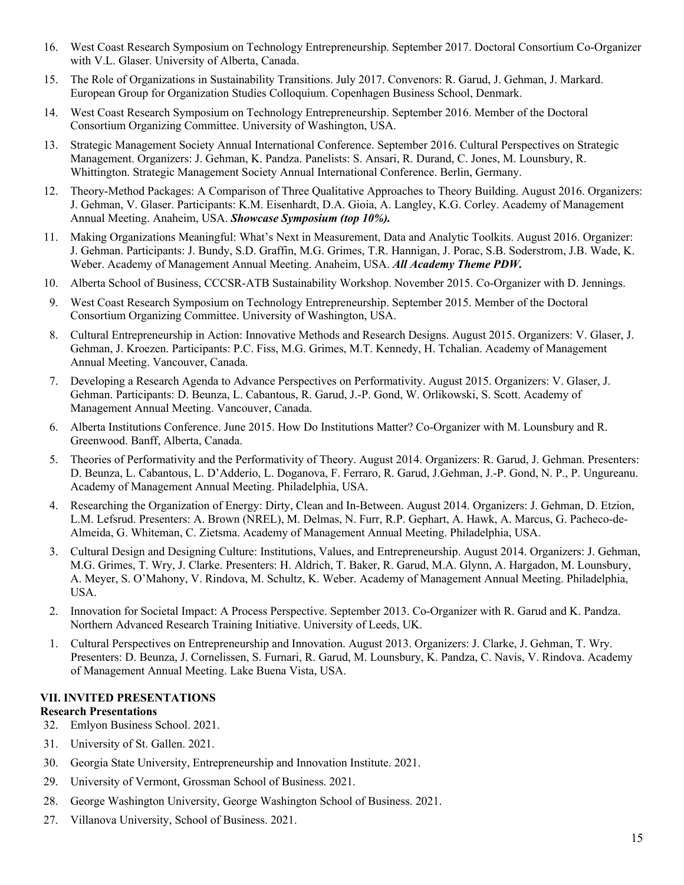- 16. West Coast Research Symposium on Technology Entrepreneurship. September 2017. Doctoral Consortium Co-Organizer with V.L. Glaser. University of Alberta, Canada.
- 15. The Role of Organizations in Sustainability Transitions. July 2017. Convenors: R. Garud, J. Gehman, J. Markard. European Group for Organization Studies Colloquium. Copenhagen Business School, Denmark.
- 14. West Coast Research Symposium on Technology Entrepreneurship. September 2016. Member of the Doctoral Consortium Organizing Committee. University of Washington, USA.
- 13. Strategic Management Society Annual International Conference. September 2016. Cultural Perspectives on Strategic Management. Organizers: J. Gehman, K. Pandza. Panelists: S. Ansari, R. Durand, C. Jones, M. Lounsbury, R. Whittington. Strategic Management Society Annual International Conference. Berlin, Germany.
- 12. Theory-Method Packages: A Comparison of Three Qualitative Approaches to Theory Building. August 2016. Organizers: J. Gehman, V. Glaser. Participants: K.M. Eisenhardt, D.A. Gioia, A. Langley, K.G. Corley. Academy of Management Annual Meeting. Anaheim, USA. *Showcase Symposium (top 10%).*
- 11. Making Organizations Meaningful: What's Next in Measurement, Data and Analytic Toolkits. August 2016. Organizer: J. Gehman. Participants: J. Bundy, S.D. Graffin, M.G. Grimes, T.R. Hannigan, J. Porac, S.B. Soderstrom, J.B. Wade, K. Weber. Academy of Management Annual Meeting. Anaheim, USA. *All Academy Theme PDW.*
- 10. Alberta School of Business, CCCSR-ATB Sustainability Workshop. November 2015. Co-Organizer with D. Jennings.
- 9. West Coast Research Symposium on Technology Entrepreneurship. September 2015. Member of the Doctoral Consortium Organizing Committee. University of Washington, USA.
- 8. Cultural Entrepreneurship in Action: Innovative Methods and Research Designs. August 2015. Organizers: V. Glaser, J. Gehman, J. Kroezen. Participants: P.C. Fiss, M.G. Grimes, M.T. Kennedy, H. Tchalian. Academy of Management Annual Meeting. Vancouver, Canada.
- 7. Developing a Research Agenda to Advance Perspectives on Performativity. August 2015. Organizers: V. Glaser, J. Gehman. Participants: D. Beunza, L. Cabantous, R. Garud, J.-P. Gond, W. Orlikowski, S. Scott. Academy of Management Annual Meeting. Vancouver, Canada.
- 6. Alberta Institutions Conference. June 2015. How Do Institutions Matter? Co-Organizer with M. Lounsbury and R. Greenwood. Banff, Alberta, Canada.
- 5. Theories of Performativity and the Performativity of Theory. August 2014. Organizers: R. Garud, J. Gehman. Presenters: D. Beunza, L. Cabantous, L. D'Adderio, L. Doganova, F. Ferraro, R. Garud, J.Gehman, J.-P. Gond, N. P., P. Ungureanu. Academy of Management Annual Meeting. Philadelphia, USA.
- 4. Researching the Organization of Energy: Dirty, Clean and In-Between. August 2014. Organizers: J. Gehman, D. Etzion, L.M. Lefsrud. Presenters: A. Brown (NREL), M. Delmas, N. Furr, R.P. Gephart, A. Hawk, A. Marcus, G. Pacheco-de-Almeida, G. Whiteman, C. Zietsma. Academy of Management Annual Meeting. Philadelphia, USA.
- 3. Cultural Design and Designing Culture: Institutions, Values, and Entrepreneurship. August 2014. Organizers: J. Gehman, M.G. Grimes, T. Wry, J. Clarke. Presenters: H. Aldrich, T. Baker, R. Garud, M.A. Glynn, A. Hargadon, M. Lounsbury, A. Meyer, S. O'Mahony, V. Rindova, M. Schultz, K. Weber. Academy of Management Annual Meeting. Philadelphia, USA.
- 2. Innovation for Societal Impact: A Process Perspective. September 2013. Co-Organizer with R. Garud and K. Pandza. Northern Advanced Research Training Initiative. University of Leeds, UK.
- 1. Cultural Perspectives on Entrepreneurship and Innovation. August 2013. Organizers: J. Clarke, J. Gehman, T. Wry. Presenters: D. Beunza, J. Cornelissen, S. Furnari, R. Garud, M. Lounsbury, K. Pandza, C. Navis, V. Rindova. Academy of Management Annual Meeting. Lake Buena Vista, USA.

#### **VII. INVITED PRESENTATIONS Research Presentations**

- 32. Emlyon Business School. 2021.
- 31. University of St. Gallen. 2021.
- 30. Georgia State University, Entrepreneurship and Innovation Institute. 2021.
- 29. University of Vermont, Grossman School of Business. 2021.
- 28. George Washington University, George Washington School of Business. 2021.
- 27. Villanova University, School of Business. 2021.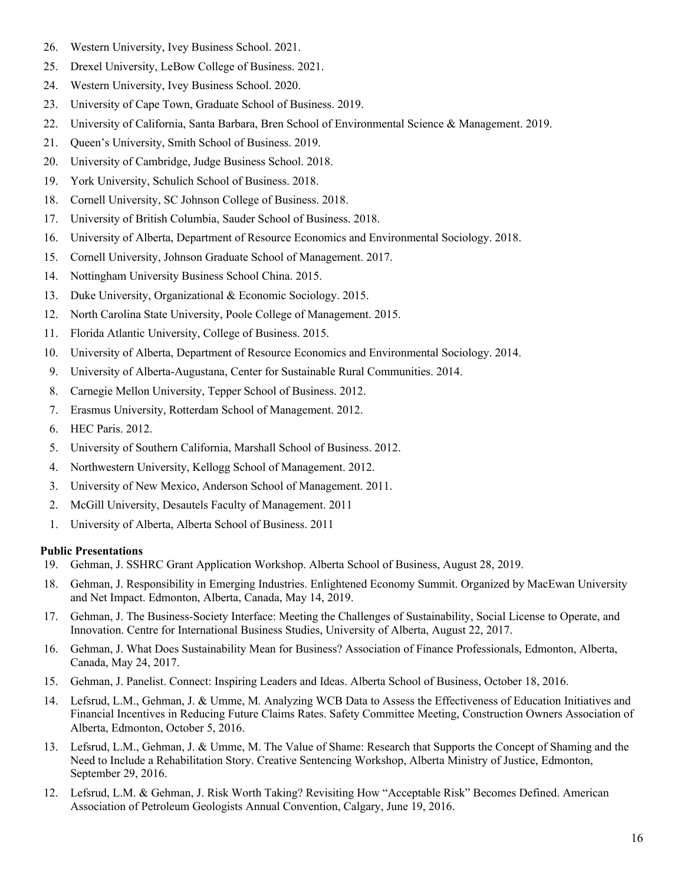- 26. Western University, Ivey Business School. 2021.
- 25. Drexel University, LeBow College of Business. 2021.
- 24. Western University, Ivey Business School. 2020.
- 23. University of Cape Town, Graduate School of Business. 2019.
- 22. University of California, Santa Barbara, Bren School of Environmental Science & Management. 2019.
- 21. Queen's University, Smith School of Business. 2019.
- 20. University of Cambridge, Judge Business School. 2018.
- 19. York University, Schulich School of Business. 2018.
- 18. Cornell University, SC Johnson College of Business. 2018.
- 17. University of British Columbia, Sauder School of Business. 2018.
- 16. University of Alberta, Department of Resource Economics and Environmental Sociology. 2018.
- 15. Cornell University, Johnson Graduate School of Management. 2017.
- 14. Nottingham University Business School China. 2015.
- 13. Duke University, Organizational & Economic Sociology. 2015.
- 12. North Carolina State University, Poole College of Management. 2015.
- 11. Florida Atlantic University, College of Business. 2015.
- 10. University of Alberta, Department of Resource Economics and Environmental Sociology. 2014.
- 9. University of Alberta-Augustana, Center for Sustainable Rural Communities. 2014.
- 8. Carnegie Mellon University, Tepper School of Business. 2012.
- 7. Erasmus University, Rotterdam School of Management. 2012.
- 6. HEC Paris. 2012.
- 5. University of Southern California, Marshall School of Business. 2012.
- 4. Northwestern University, Kellogg School of Management. 2012.
- 3. University of New Mexico, Anderson School of Management. 2011.
- 2. McGill University, Desautels Faculty of Management. 2011
- 1. University of Alberta, Alberta School of Business. 2011

# **Public Presentations**

- 19. Gehman, J. SSHRC Grant Application Workshop. Alberta School of Business, August 28, 2019.
- 18. Gehman, J. Responsibility in Emerging Industries. Enlightened Economy Summit. Organized by MacEwan University and Net Impact. Edmonton, Alberta, Canada, May 14, 2019.
- 17. Gehman, J. The Business-Society Interface: Meeting the Challenges of Sustainability, Social License to Operate, and Innovation. Centre for International Business Studies, University of Alberta, August 22, 2017.
- 16. Gehman, J. What Does Sustainability Mean for Business? Association of Finance Professionals, Edmonton, Alberta, Canada, May 24, 2017.
- 15. Gehman, J. Panelist. Connect: Inspiring Leaders and Ideas. Alberta School of Business, October 18, 2016.
- 14. Lefsrud, L.M., Gehman, J. & Umme, M*.* Analyzing WCB Data to Assess the Effectiveness of Education Initiatives and Financial Incentives in Reducing Future Claims Rates. Safety Committee Meeting, Construction Owners Association of Alberta, Edmonton, October 5, 2016.
- 13. Lefsrud, L.M., Gehman, J. & Umme, M. The Value of Shame: Research that Supports the Concept of Shaming and the Need to Include a Rehabilitation Story. Creative Sentencing Workshop, Alberta Ministry of Justice, Edmonton, September 29, 2016.
- 12. Lefsrud, L.M. & Gehman, J. Risk Worth Taking? Revisiting How "Acceptable Risk" Becomes Defined. American Association of Petroleum Geologists Annual Convention, Calgary, June 19, 2016.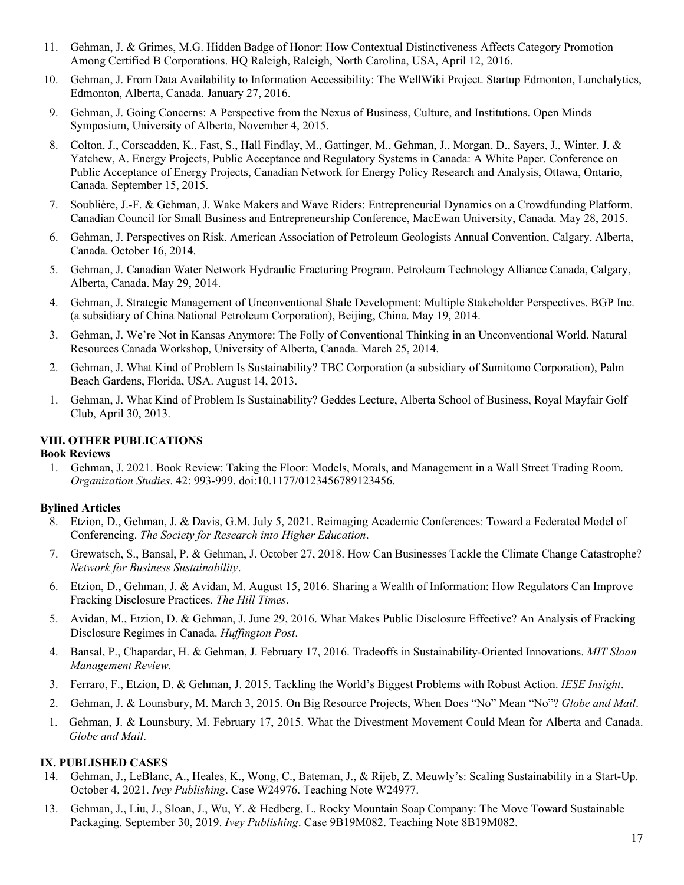- 11. Gehman, J. & Grimes, M.G. Hidden Badge of Honor: How Contextual Distinctiveness Affects Category Promotion Among Certified B Corporations. HQ Raleigh, Raleigh, North Carolina, USA, April 12, 2016.
- 10. Gehman, J. From Data Availability to Information Accessibility: The WellWiki Project. Startup Edmonton, Lunchalytics, Edmonton, Alberta, Canada. January 27, 2016.
- 9. Gehman, J. Going Concerns: A Perspective from the Nexus of Business, Culture, and Institutions. Open Minds Symposium, University of Alberta, November 4, 2015.
- 8. Colton, J., Corscadden, K., Fast, S., Hall Findlay, M., Gattinger, M., Gehman, J., Morgan, D., Sayers, J., Winter, J. & Yatchew, A. Energy Projects, Public Acceptance and Regulatory Systems in Canada: A White Paper. Conference on Public Acceptance of Energy Projects, Canadian Network for Energy Policy Research and Analysis, Ottawa, Ontario, Canada. September 15, 2015.
- 7. Soublière, J.-F. & Gehman, J. Wake Makers and Wave Riders: Entrepreneurial Dynamics on a Crowdfunding Platform. Canadian Council for Small Business and Entrepreneurship Conference, MacEwan University, Canada. May 28, 2015.
- 6. Gehman, J. Perspectives on Risk. American Association of Petroleum Geologists Annual Convention, Calgary, Alberta, Canada. October 16, 2014.
- 5. Gehman, J. Canadian Water Network Hydraulic Fracturing Program. Petroleum Technology Alliance Canada, Calgary, Alberta, Canada. May 29, 2014.
- 4. Gehman, J. Strategic Management of Unconventional Shale Development: Multiple Stakeholder Perspectives. BGP Inc. (a subsidiary of China National Petroleum Corporation), Beijing, China. May 19, 2014.
- 3. Gehman, J. We're Not in Kansas Anymore: The Folly of Conventional Thinking in an Unconventional World. Natural Resources Canada Workshop, University of Alberta, Canada. March 25, 2014.
- 2. Gehman, J. What Kind of Problem Is Sustainability? TBC Corporation (a subsidiary of Sumitomo Corporation), Palm Beach Gardens, Florida, USA. August 14, 2013.
- 1. Gehman, J. What Kind of Problem Is Sustainability? Geddes Lecture, Alberta School of Business, Royal Mayfair Golf Club, April 30, 2013.

### **VIII. OTHER PUBLICATIONS**

#### **Book Reviews**

1. Gehman, J. 2021. Book Review: Taking the Floor: Models, Morals, and Management in a Wall Street Trading Room. *Organization Studies*. 42: 993-999. doi:10.1177/0123456789123456.

### **Bylined Articles**

- 8. Etzion, D., Gehman, J. & Davis, G.M. July 5, 2021. Reimaging Academic Conferences: Toward a Federated Model of Conferencing. *The Society for Research into Higher Education*.
- 7. Grewatsch, S., Bansal, P. & Gehman, J. October 27, 2018. How Can Businesses Tackle the Climate Change Catastrophe? *Network for Business Sustainability*.
- 6. Etzion, D., Gehman, J. & Avidan, M. August 15, 2016. Sharing a Wealth of Information: How Regulators Can Improve Fracking Disclosure Practices. *The Hill Times*.
- 5. Avidan, M., Etzion, D. & Gehman, J. June 29, 2016. What Makes Public Disclosure Effective? An Analysis of Fracking Disclosure Regimes in Canada. *Huffington Post*.
- 4. Bansal, P., Chapardar, H. & Gehman, J. February 17, 2016. Tradeoffs in Sustainability-Oriented Innovations. *MIT Sloan Management Review*.
- 3. Ferraro, F., Etzion, D. & Gehman, J. 2015. Tackling the World's Biggest Problems with Robust Action. *IESE Insight*.
- 2. Gehman, J. & Lounsbury, M. March 3, 2015. On Big Resource Projects, When Does "No" Mean "No"? *Globe and Mail*.
- 1. Gehman, J. & Lounsbury, M. February 17, 2015. What the Divestment Movement Could Mean for Alberta and Canada. *Globe and Mail*.

### **IX. PUBLISHED CASES**

- 14. Gehman, J., LeBlanc, A., Heales, K., Wong, C., Bateman, J., & Rijeb, Z. Meuwly's: Scaling Sustainability in a Start-Up. October 4, 2021. *Ivey Publishing*. Case W24976. Teaching Note W24977.
- 13. Gehman, J., Liu, J., Sloan, J., Wu, Y. & Hedberg, L. Rocky Mountain Soap Company: The Move Toward Sustainable Packaging. September 30, 2019. *Ivey Publishing*. Case 9B19M082. Teaching Note 8B19M082.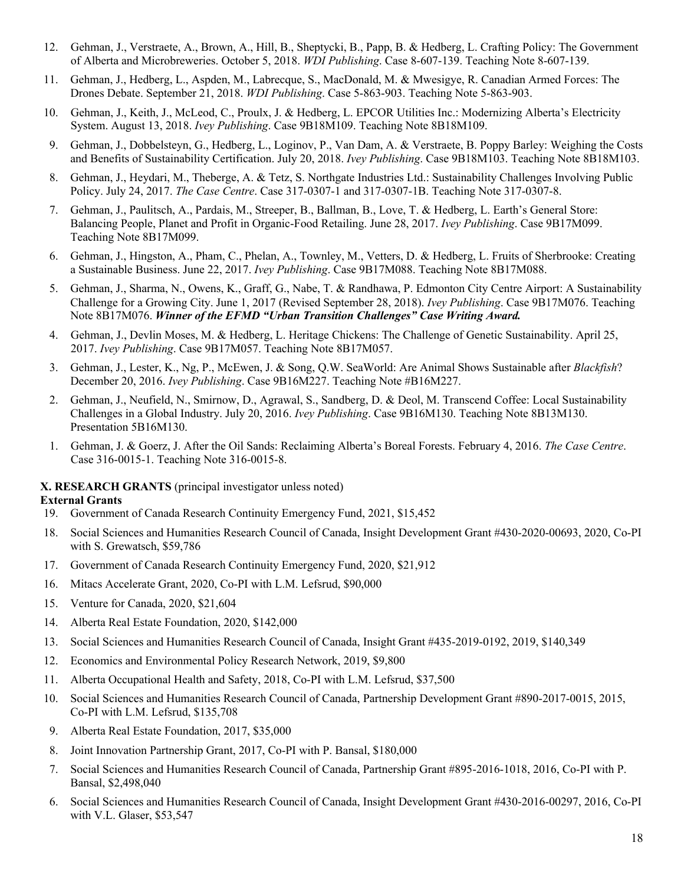- 12. Gehman, J., Verstraete, A., Brown, A., Hill, B., Sheptycki, B., Papp, B. & Hedberg, L. Crafting Policy: The Government of Alberta and Microbreweries. October 5, 2018. *WDI Publishing*. Case 8-607-139. Teaching Note 8-607-139.
- 11. Gehman, J., Hedberg, L., Aspden, M., Labrecque, S., MacDonald, M. & Mwesigye, R. Canadian Armed Forces: The Drones Debate. September 21, 2018. *WDI Publishing*. Case 5-863-903. Teaching Note 5-863-903.
- 10. Gehman, J., Keith, J., McLeod, C., Proulx, J. & Hedberg, L. EPCOR Utilities Inc.: Modernizing Alberta's Electricity System. August 13, 2018. *Ivey Publishing*. Case 9B18M109. Teaching Note 8B18M109.
- 9. Gehman, J., Dobbelsteyn, G., Hedberg, L., Loginov, P., Van Dam, A. & Verstraete, B. Poppy Barley: Weighing the Costs and Benefits of Sustainability Certification. July 20, 2018. *Ivey Publishing*. Case 9B18M103. Teaching Note 8B18M103.
- 8. Gehman, J., Heydari, M., Theberge, A. & Tetz, S. Northgate Industries Ltd.: Sustainability Challenges Involving Public Policy. July 24, 2017. *The Case Centre*. Case 317-0307-1 and 317-0307-1B. Teaching Note 317-0307-8.
- 7. Gehman, J., Paulitsch, A., Pardais, M., Streeper, B., Ballman, B., Love, T. & Hedberg, L. Earth's General Store: Balancing People, Planet and Profit in Organic-Food Retailing. June 28, 2017. *Ivey Publishing*. Case 9B17M099. Teaching Note 8B17M099.
- 6. Gehman, J., Hingston, A., Pham, C., Phelan, A., Townley, M., Vetters, D. & Hedberg, L. Fruits of Sherbrooke: Creating a Sustainable Business. June 22, 2017. *Ivey Publishing*. Case 9B17M088. Teaching Note 8B17M088.
- 5. Gehman, J., Sharma, N., Owens, K., Graff, G., Nabe, T. & Randhawa, P. Edmonton City Centre Airport: A Sustainability Challenge for a Growing City. June 1, 2017 (Revised September 28, 2018). *Ivey Publishing*. Case 9B17M076. Teaching Note 8B17M076. *Winner of the EFMD "Urban Transition Challenges" Case Writing Award.*
- 4. Gehman, J., Devlin Moses, M. & Hedberg, L. Heritage Chickens: The Challenge of Genetic Sustainability. April 25, 2017. *Ivey Publishing*. Case 9B17M057. Teaching Note 8B17M057.
- 3. Gehman, J., Lester, K., Ng, P., McEwen, J. & Song, Q.W. SeaWorld: Are Animal Shows Sustainable after *Blackfish*? December 20, 2016. *Ivey Publishing*. Case 9B16M227. Teaching Note #B16M227.
- 2. Gehman, J., Neufield, N., Smirnow, D., Agrawal, S., Sandberg, D. & Deol, M. Transcend Coffee: Local Sustainability Challenges in a Global Industry. July 20, 2016. *Ivey Publishing*. Case 9B16M130. Teaching Note 8B13M130. Presentation 5B16M130.
- 1. Gehman, J. & Goerz, J. After the Oil Sands: Reclaiming Alberta's Boreal Forests. February 4, 2016. *The Case Centre*. Case 316-0015-1. Teaching Note 316-0015-8.

#### **X. RESEARCH GRANTS** (principal investigator unless noted)

#### **External Grants**

- 19. Government of Canada Research Continuity Emergency Fund, 2021, \$15,452
- 18. Social Sciences and Humanities Research Council of Canada, Insight Development Grant #430-2020-00693, 2020, Co-PI with S. Grewatsch, \$59,786
- 17. Government of Canada Research Continuity Emergency Fund, 2020, \$21,912
- 16. Mitacs Accelerate Grant, 2020, Co-PI with L.M. Lefsrud, \$90,000
- 15. Venture for Canada, 2020, \$21,604
- 14. Alberta Real Estate Foundation, 2020, \$142,000
- 13. Social Sciences and Humanities Research Council of Canada, Insight Grant #435-2019-0192, 2019, \$140,349
- 12. Economics and Environmental Policy Research Network, 2019, \$9,800
- 11. Alberta Occupational Health and Safety, 2018, Co-PI with L.M. Lefsrud, \$37,500
- 10. Social Sciences and Humanities Research Council of Canada, Partnership Development Grant #890-2017-0015, 2015, Co-PI with L.M. Lefsrud, \$135,708
- 9. Alberta Real Estate Foundation, 2017, \$35,000
- 8. Joint Innovation Partnership Grant, 2017, Co-PI with P. Bansal, \$180,000
- 7. Social Sciences and Humanities Research Council of Canada, Partnership Grant #895-2016-1018, 2016, Co-PI with P. Bansal, \$2,498,040
- 6. Social Sciences and Humanities Research Council of Canada, Insight Development Grant #430-2016-00297, 2016, Co-PI with V.L. Glaser, \$53,547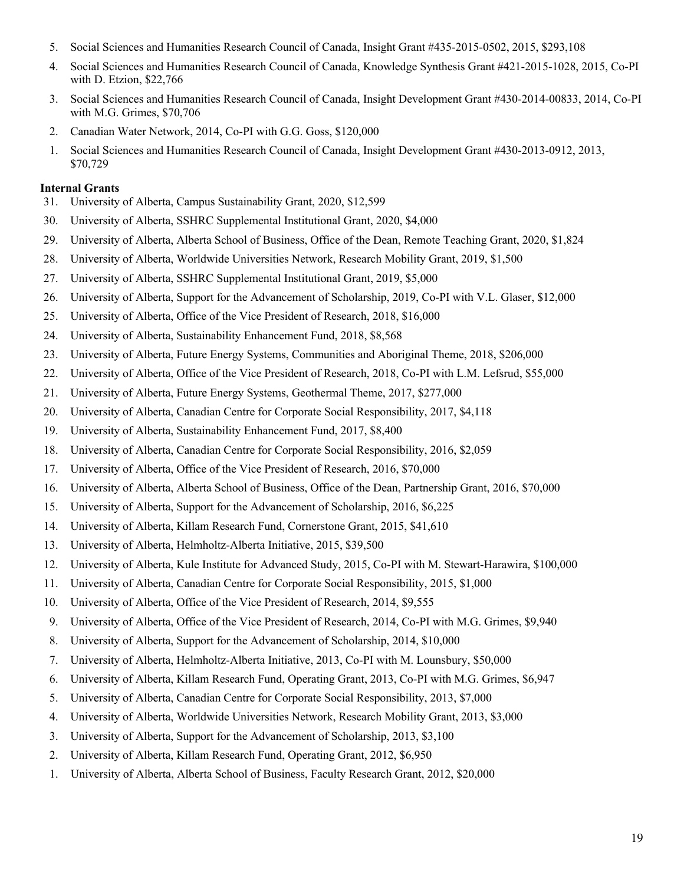- 5. Social Sciences and Humanities Research Council of Canada, Insight Grant #435-2015-0502, 2015, \$293,108
- 4. Social Sciences and Humanities Research Council of Canada, Knowledge Synthesis Grant #421-2015-1028, 2015, Co-PI with D. Etzion, \$22,766
- 3. Social Sciences and Humanities Research Council of Canada, Insight Development Grant #430-2014-00833, 2014, Co-PI with M.G. Grimes, \$70,706
- 2. Canadian Water Network, 2014, Co-PI with G.G. Goss, \$120,000
- 1. Social Sciences and Humanities Research Council of Canada, Insight Development Grant #430-2013-0912, 2013, \$70,729

### **Internal Grants**

- 31. University of Alberta, Campus Sustainability Grant, 2020, \$12,599
- 30. University of Alberta, SSHRC Supplemental Institutional Grant, 2020, \$4,000
- 29. University of Alberta, Alberta School of Business, Office of the Dean, Remote Teaching Grant, 2020, \$1,824
- 28. University of Alberta, Worldwide Universities Network, Research Mobility Grant, 2019, \$1,500
- 27. University of Alberta, SSHRC Supplemental Institutional Grant, 2019, \$5,000
- 26. University of Alberta, Support for the Advancement of Scholarship, 2019, Co-PI with V.L. Glaser, \$12,000
- 25. University of Alberta, Office of the Vice President of Research, 2018, \$16,000
- 24. University of Alberta, Sustainability Enhancement Fund, 2018, \$8,568
- 23. University of Alberta, Future Energy Systems, Communities and Aboriginal Theme, 2018, \$206,000
- 22. University of Alberta, Office of the Vice President of Research, 2018, Co-PI with L.M. Lefsrud, \$55,000
- 21. University of Alberta, Future Energy Systems, Geothermal Theme, 2017, \$277,000
- 20. University of Alberta, Canadian Centre for Corporate Social Responsibility, 2017, \$4,118
- 19. University of Alberta, Sustainability Enhancement Fund, 2017, \$8,400
- 18. University of Alberta, Canadian Centre for Corporate Social Responsibility, 2016, \$2,059
- 17. University of Alberta, Office of the Vice President of Research, 2016, \$70,000
- 16. University of Alberta, Alberta School of Business, Office of the Dean, Partnership Grant, 2016, \$70,000
- 15. University of Alberta, Support for the Advancement of Scholarship, 2016, \$6,225
- 14. University of Alberta, Killam Research Fund, Cornerstone Grant, 2015, \$41,610
- 13. University of Alberta, Helmholtz-Alberta Initiative, 2015, \$39,500
- 12. University of Alberta, Kule Institute for Advanced Study, 2015, Co-PI with M. Stewart-Harawira, \$100,000
- 11. University of Alberta, Canadian Centre for Corporate Social Responsibility, 2015, \$1,000
- 10. University of Alberta, Office of the Vice President of Research, 2014, \$9,555
- 9. University of Alberta, Office of the Vice President of Research, 2014, Co-PI with M.G. Grimes, \$9,940
- 8. University of Alberta, Support for the Advancement of Scholarship, 2014, \$10,000
- 7. University of Alberta, Helmholtz-Alberta Initiative, 2013, Co-PI with M. Lounsbury, \$50,000
- 6. University of Alberta, Killam Research Fund, Operating Grant, 2013, Co-PI with M.G. Grimes, \$6,947
- 5. University of Alberta, Canadian Centre for Corporate Social Responsibility, 2013, \$7,000
- 4. University of Alberta, Worldwide Universities Network, Research Mobility Grant, 2013, \$3,000
- 3. University of Alberta, Support for the Advancement of Scholarship, 2013, \$3,100
- 2. University of Alberta, Killam Research Fund, Operating Grant, 2012, \$6,950
- 1. University of Alberta, Alberta School of Business, Faculty Research Grant, 2012, \$20,000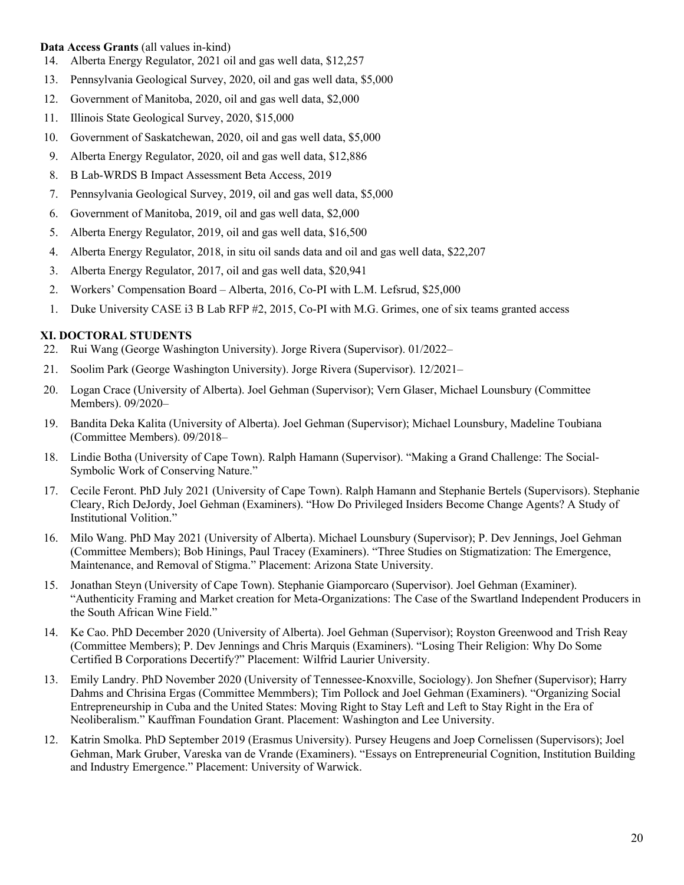### **Data Access Grants** (all values in-kind)

- 14. Alberta Energy Regulator, 2021 oil and gas well data, \$12,257
- 13. Pennsylvania Geological Survey, 2020, oil and gas well data, \$5,000
- 12. Government of Manitoba, 2020, oil and gas well data, \$2,000
- 11. Illinois State Geological Survey, 2020, \$15,000
- 10. Government of Saskatchewan, 2020, oil and gas well data, \$5,000
- 9. Alberta Energy Regulator, 2020, oil and gas well data, \$12,886
- 8. B Lab-WRDS B Impact Assessment Beta Access, 2019
- 7. Pennsylvania Geological Survey, 2019, oil and gas well data, \$5,000
- 6. Government of Manitoba, 2019, oil and gas well data, \$2,000
- 5. Alberta Energy Regulator, 2019, oil and gas well data, \$16,500
- 4. Alberta Energy Regulator, 2018, in situ oil sands data and oil and gas well data, \$22,207
- 3. Alberta Energy Regulator, 2017, oil and gas well data, \$20,941
- 2. Workers' Compensation Board Alberta, 2016, Co-PI with L.M. Lefsrud, \$25,000
- 1. Duke University CASE i3 B Lab RFP #2, 2015, Co-PI with M.G. Grimes, one of six teams granted access

# **XI. DOCTORAL STUDENTS**

- 22. Rui Wang (George Washington University). Jorge Rivera (Supervisor). 01/2022–
- 21. Soolim Park (George Washington University). Jorge Rivera (Supervisor). 12/2021–
- 20. Logan Crace (University of Alberta). Joel Gehman (Supervisor); Vern Glaser, Michael Lounsbury (Committee Members). 09/2020–
- 19. Bandita Deka Kalita (University of Alberta). Joel Gehman (Supervisor); Michael Lounsbury, Madeline Toubiana (Committee Members). 09/2018–
- 18. Lindie Botha (University of Cape Town). Ralph Hamann (Supervisor). "Making a Grand Challenge: The Social-Symbolic Work of Conserving Nature."
- 17. Cecile Feront. PhD July 2021 (University of Cape Town). Ralph Hamann and Stephanie Bertels (Supervisors). Stephanie Cleary, Rich DeJordy, Joel Gehman (Examiners). "How Do Privileged Insiders Become Change Agents? A Study of Institutional Volition."
- 16. Milo Wang. PhD May 2021 (University of Alberta). Michael Lounsbury (Supervisor); P. Dev Jennings, Joel Gehman (Committee Members); Bob Hinings, Paul Tracey (Examiners). "Three Studies on Stigmatization: The Emergence, Maintenance, and Removal of Stigma." Placement: Arizona State University.
- 15. Jonathan Steyn (University of Cape Town). Stephanie Giamporcaro (Supervisor). Joel Gehman (Examiner). "Authenticity Framing and Market creation for Meta-Organizations: The Case of the Swartland Independent Producers in the South African Wine Field."
- 14. Ke Cao. PhD December 2020 (University of Alberta). Joel Gehman (Supervisor); Royston Greenwood and Trish Reay (Committee Members); P. Dev Jennings and Chris Marquis (Examiners). "Losing Their Religion: Why Do Some Certified B Corporations Decertify?" Placement: Wilfrid Laurier University.
- 13. Emily Landry. PhD November 2020 (University of Tennessee-Knoxville, Sociology). Jon Shefner (Supervisor); Harry Dahms and Chrisina Ergas (Committee Memmbers); Tim Pollock and Joel Gehman (Examiners). "Organizing Social Entrepreneurship in Cuba and the United States: Moving Right to Stay Left and Left to Stay Right in the Era of Neoliberalism." Kauffman Foundation Grant. Placement: Washington and Lee University.
- 12. Katrin Smolka. PhD September 2019 (Erasmus University). Pursey Heugens and Joep Cornelissen (Supervisors); Joel Gehman, Mark Gruber, Vareska van de Vrande (Examiners). "Essays on Entrepreneurial Cognition, Institution Building and Industry Emergence." Placement: University of Warwick.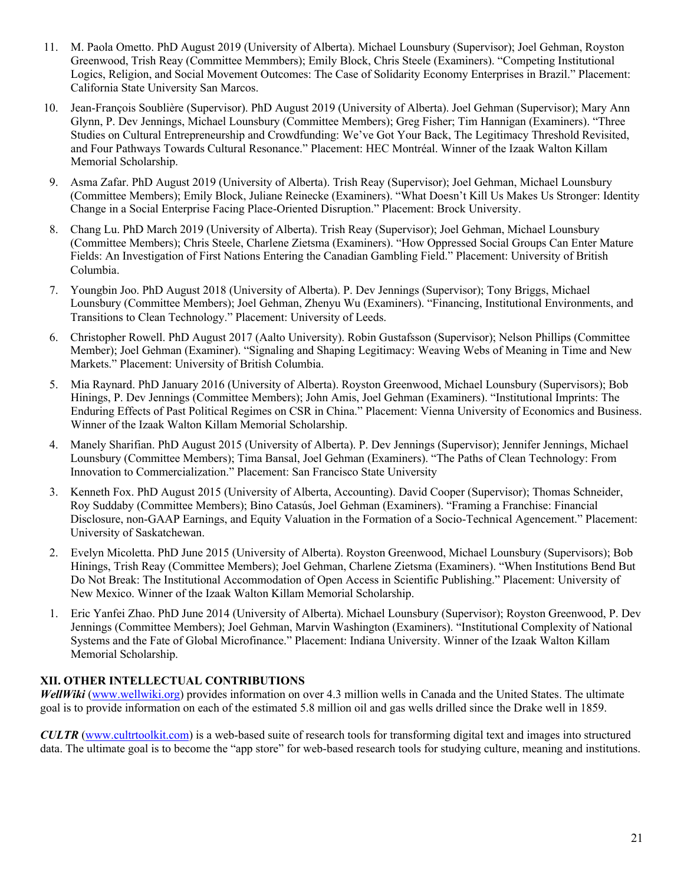- 11. M. Paola Ometto. PhD August 2019 (University of Alberta). Michael Lounsbury (Supervisor); Joel Gehman, Royston Greenwood, Trish Reay (Committee Memmbers); Emily Block, Chris Steele (Examiners). "Competing Institutional Logics, Religion, and Social Movement Outcomes: The Case of Solidarity Economy Enterprises in Brazil." Placement: California State University San Marcos.
- 10. Jean-François Soublière (Supervisor). PhD August 2019 (University of Alberta). Joel Gehman (Supervisor); Mary Ann Glynn, P. Dev Jennings, Michael Lounsbury (Committee Members); Greg Fisher; Tim Hannigan (Examiners). "Three Studies on Cultural Entrepreneurship and Crowdfunding: We've Got Your Back, The Legitimacy Threshold Revisited, and Four Pathways Towards Cultural Resonance." Placement: HEC Montréal. Winner of the Izaak Walton Killam Memorial Scholarship.
- 9. Asma Zafar. PhD August 2019 (University of Alberta). Trish Reay (Supervisor); Joel Gehman, Michael Lounsbury (Committee Members); Emily Block, Juliane Reinecke (Examiners). "What Doesn't Kill Us Makes Us Stronger: Identity Change in a Social Enterprise Facing Place-Oriented Disruption." Placement: Brock University.
- 8. Chang Lu. PhD March 2019 (University of Alberta). Trish Reay (Supervisor); Joel Gehman, Michael Lounsbury (Committee Members); Chris Steele, Charlene Zietsma (Examiners). "How Oppressed Social Groups Can Enter Mature Fields: An Investigation of First Nations Entering the Canadian Gambling Field." Placement: University of British Columbia.
- 7. Youngbin Joo. PhD August 2018 (University of Alberta). P. Dev Jennings (Supervisor); Tony Briggs, Michael Lounsbury (Committee Members); Joel Gehman, Zhenyu Wu (Examiners). "Financing, Institutional Environments, and Transitions to Clean Technology." Placement: University of Leeds.
- 6. Christopher Rowell. PhD August 2017 (Aalto University). Robin Gustafsson (Supervisor); Nelson Phillips (Committee Member); Joel Gehman (Examiner). "Signaling and Shaping Legitimacy: Weaving Webs of Meaning in Time and New Markets." Placement: University of British Columbia.
- 5. Mia Raynard. PhD January 2016 (University of Alberta). Royston Greenwood, Michael Lounsbury (Supervisors); Bob Hinings, P. Dev Jennings (Committee Members); John Amis, Joel Gehman (Examiners). "Institutional Imprints: The Enduring Effects of Past Political Regimes on CSR in China." Placement: Vienna University of Economics and Business. Winner of the Izaak Walton Killam Memorial Scholarship.
- 4. Manely Sharifian. PhD August 2015 (University of Alberta). P. Dev Jennings (Supervisor); Jennifer Jennings, Michael Lounsbury (Committee Members); Tima Bansal, Joel Gehman (Examiners). "The Paths of Clean Technology: From Innovation to Commercialization." Placement: San Francisco State University
- 3. Kenneth Fox. PhD August 2015 (University of Alberta, Accounting). David Cooper (Supervisor); Thomas Schneider, Roy Suddaby (Committee Members); Bino Catasús, Joel Gehman (Examiners). "Framing a Franchise: Financial Disclosure, non-GAAP Earnings, and Equity Valuation in the Formation of a Socio-Technical Agencement." Placement: University of Saskatchewan.
- 2. Evelyn Micoletta. PhD June 2015 (University of Alberta). Royston Greenwood, Michael Lounsbury (Supervisors); Bob Hinings, Trish Reay (Committee Members); Joel Gehman, Charlene Zietsma (Examiners). "When Institutions Bend But Do Not Break: The Institutional Accommodation of Open Access in Scientific Publishing." Placement: University of New Mexico. Winner of the Izaak Walton Killam Memorial Scholarship.
- 1. Eric Yanfei Zhao. PhD June 2014 (University of Alberta). Michael Lounsbury (Supervisor); Royston Greenwood, P. Dev Jennings (Committee Members); Joel Gehman, Marvin Washington (Examiners). "Institutional Complexity of National Systems and the Fate of Global Microfinance." Placement: Indiana University. Winner of the Izaak Walton Killam Memorial Scholarship.

# **XII. OTHER INTELLECTUAL CONTRIBUTIONS**

*WellWiki* (www.wellwiki.org) provides information on over 4.3 million wells in Canada and the United States. The ultimate goal is to provide information on each of the estimated 5.8 million oil and gas wells drilled since the Drake well in 1859.

*CULTR* (www.cultrtoolkit.com) is a web-based suite of research tools for transforming digital text and images into structured data. The ultimate goal is to become the "app store" for web-based research tools for studying culture, meaning and institutions.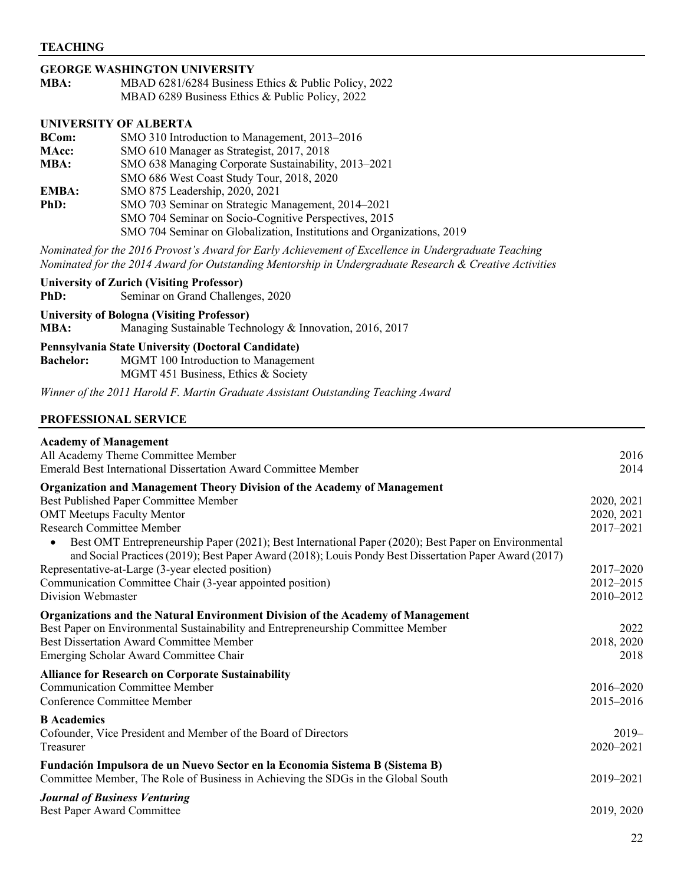## **GEORGE WASHINGTON UNIVERSITY**

| MBA: | MBAD 6281/6284 Business Ethics & Public Policy, 2022 |
|------|------------------------------------------------------|
|      | MBAD 6289 Business Ethics & Public Policy, 2022      |

# **UNIVERSITY OF ALBERTA**

| <b>BCom:</b> | SMO 310 Introduction to Management, 2013–2016                          |
|--------------|------------------------------------------------------------------------|
| <b>MAcc:</b> | SMO 610 Manager as Strategist, 2017, 2018                              |
| MBA:         | SMO 638 Managing Corporate Sustainability, 2013–2021                   |
|              | SMO 686 West Coast Study Tour, 2018, 2020                              |
| EMBA:        | SMO 875 Leadership, 2020, 2021                                         |
| PhD:         | SMO 703 Seminar on Strategic Management, 2014–2021                     |
|              | SMO 704 Seminar on Socio-Cognitive Perspectives, 2015                  |
|              | SMO 704 Seminar on Globalization, Institutions and Organizations, 2019 |

*Nominated for the 2016 Provost's Award for Early Achievement of Excellence in Undergraduate Teaching Nominated for the 2014 Award for Outstanding Mentorship in Undergraduate Research & Creative Activities*

**University of Zurich (Visiting Professor) PhD:** Seminar on Grand Challenges, 2020

#### **University of Bologna (Visiting Professor)**

**MBA:** Managing Sustainable Technology & Innovation, 2016, 2017

#### **Pennsylvania State University (Doctoral Candidate)**

**Bachelor:** MGMT 100 Introduction to Management MGMT 451 Business, Ethics & Society

*Winner of the 2011 Harold F. Martin Graduate Assistant Outstanding Teaching Award*

#### **PROFESSIONAL SERVICE**

| <b>Academy of Management</b>                                                                                                                                                                                                |            |
|-----------------------------------------------------------------------------------------------------------------------------------------------------------------------------------------------------------------------------|------------|
| All Academy Theme Committee Member                                                                                                                                                                                          | 2016       |
| <b>Emerald Best International Dissertation Award Committee Member</b>                                                                                                                                                       | 2014       |
| Organization and Management Theory Division of the Academy of Management                                                                                                                                                    |            |
| Best Published Paper Committee Member                                                                                                                                                                                       | 2020, 2021 |
| <b>OMT Meetups Faculty Mentor</b>                                                                                                                                                                                           | 2020, 2021 |
| <b>Research Committee Member</b>                                                                                                                                                                                            | 2017-2021  |
| Best OMT Entrepreneurship Paper (2021); Best International Paper (2020); Best Paper on Environmental<br>$\bullet$<br>and Social Practices (2019); Best Paper Award (2018); Louis Pondy Best Dissertation Paper Award (2017) |            |
| Representative-at-Large (3-year elected position)                                                                                                                                                                           | 2017-2020  |
| Communication Committee Chair (3-year appointed position)                                                                                                                                                                   | 2012-2015  |
| Division Webmaster                                                                                                                                                                                                          | 2010-2012  |
| <b>Organizations and the Natural Environment Division of the Academy of Management</b>                                                                                                                                      |            |
| Best Paper on Environmental Sustainability and Entrepreneurship Committee Member                                                                                                                                            | 2022       |
| <b>Best Dissertation Award Committee Member</b>                                                                                                                                                                             | 2018, 2020 |
| Emerging Scholar Award Committee Chair                                                                                                                                                                                      | 2018       |
| <b>Alliance for Research on Corporate Sustainability</b>                                                                                                                                                                    |            |
| <b>Communication Committee Member</b>                                                                                                                                                                                       | 2016-2020  |
| <b>Conference Committee Member</b>                                                                                                                                                                                          | 2015-2016  |
| <b>B</b> Academics                                                                                                                                                                                                          |            |
| Cofounder, Vice President and Member of the Board of Directors                                                                                                                                                              | $2019-$    |
| Treasurer                                                                                                                                                                                                                   | 2020-2021  |
| Fundación Impulsora de un Nuevo Sector en la Economia Sistema B (Sistema B)                                                                                                                                                 |            |
| Committee Member, The Role of Business in Achieving the SDGs in the Global South                                                                                                                                            | 2019-2021  |
| <b>Journal of Business Venturing</b>                                                                                                                                                                                        |            |
| Best Paper Award Committee                                                                                                                                                                                                  | 2019, 2020 |
|                                                                                                                                                                                                                             |            |